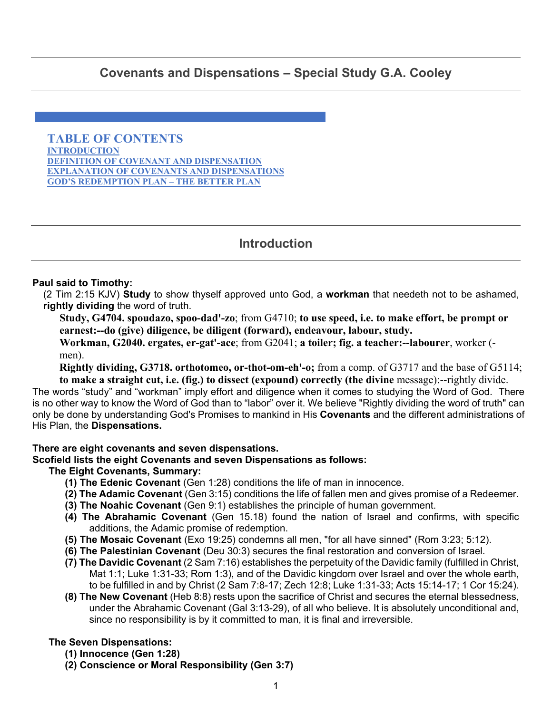# <span id="page-0-0"></span>**Covenants and Dispensations – Special Study G.A. Cooley**

**TABLE OF CONTENTS INTRODUCTION [DEFINITION OF COVENANT AND DISPENSATION](#page-1-0)  [EXPLANATION OF COVENANTS AND DISPENSATIONS](#page-2-0)  [GOD'S REDEMPTION PLAN – THE BETTER PLAN](#page-20-0)**

# **Introduction**

### **Paul said to Timothy:**

(2 Tim 2:15 KJV) **Study** to show thyself approved unto God, a **workman** that needeth not to be ashamed, **rightly dividing** the word of truth.

**Study, G4704. spoudazo, spoo-dad'-zo**; from G4710; **to use speed, i.e. to make effort, be prompt or earnest:--do (give) diligence, be diligent (forward), endeavour, labour, study.** 

**Workman, G2040. ergates, er-gat'-ace**; from G2041; **a toiler; fig. a teacher:--labourer**, worker ( men).

**Rightly dividing, G3718. orthotomeo, or-thot-om-eh'-o;** from a comp. of G3717 and the base of G5114; **to make a straight cut, i.e. (fig.) to dissect (expound) correctly (the divine** message):--rightly divide.

The words "study" and "workman" imply effort and diligence when it comes to studying the Word of God. There is no other way to know the Word of God than to "labor" over it. We believe "Rightly dividing the word of truth" can only be done by understanding God's Promises to mankind in His **Covenants** and the different administrations of His Plan, the **Dispensations.**

#### **There are eight covenants and seven dispensations.**

### **Scofield lists the eight Covenants and seven Dispensations as follows:**

### **The Eight Covenants, Summary:**

- **(1) The Edenic Covenant** (Gen 1:28) conditions the life of man in innocence.
- **(2) The Adamic Covenant** (Gen 3:15) conditions the life of fallen men and gives promise of a Redeemer.
- **(3) The Noahic Covenant** (Gen 9:1) establishes the principle of human government.
- **(4) The Abrahamic Covenant** (Gen 15.18) found the nation of Israel and confirms, with specific additions, the Adamic promise of redemption.
- **(5) The Mosaic Covenant** (Exo 19:25) condemns all men, "for all have sinned" (Rom 3:23; 5:12).
- **(6) The Palestinian Covenant** (Deu 30:3) secures the final restoration and conversion of Israel.
- **(7) The Davidic Covenant** (2 Sam 7:16) establishes the perpetuity of the Davidic family (fulfilled in Christ, Mat 1:1; Luke 1:31-33; Rom 1:3), and of the Davidic kingdom over Israel and over the whole earth, to be fulfilled in and by Christ (2 Sam 7:8-17; Zech 12:8; Luke 1:31-33; Acts 15:14-17; 1 Cor 15:24).
- **(8) The New Covenant** (Heb 8:8) rests upon the sacrifice of Christ and secures the eternal blessedness, under the Abrahamic Covenant (Gal 3:13-29), of all who believe. It is absolutely unconditional and, since no responsibility is by it committed to man, it is final and irreversible.

### **The Seven Dispensations:**

- **(1) Innocence (Gen 1:28)**
- **(2) Conscience or Moral Responsibility (Gen 3:7)**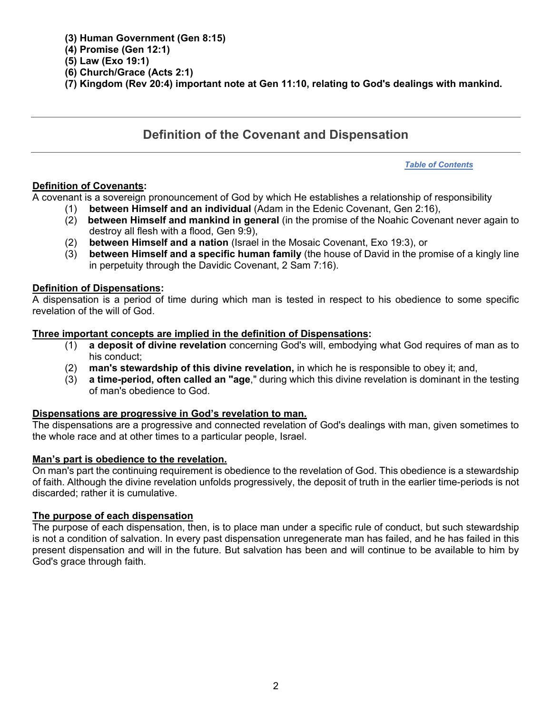### <span id="page-1-0"></span>**(3) Human Government (Gen 8:15)**

### **(4) Promise (Gen 12:1)**

- **(5) Law (Exo 19:1)**
- **(6) Church/Grace (Acts 2:1)**
- **(7) Kingdom (Rev 20:4) important note at Gen 11:10, relating to God's dealings with mankind.**

# **Definition of the Covenant and Dispensation**

#### *[Table of Contents](#page-0-0)*

### **Definition of Covenants:**

A covenant is a sovereign pronouncement of God by which He establishes a relationship of responsibility

- (1) **between Himself and an individual** (Adam in the Edenic Covenant, Gen 2:16),
- (2) **between Himself and mankind in general** (in the promise of the Noahic Covenant never again to destroy all flesh with a flood, Gen 9:9),
- (2) **between Himself and a nation** (Israel in the Mosaic Covenant, Exo 19:3), or
- (3) **between Himself and a specific human family** (the house of David in the promise of a kingly line in perpetuity through the Davidic Covenant, 2 Sam 7:16).

### **Definition of Dispensations:**

A dispensation is a period of time during which man is tested in respect to his obedience to some specific revelation of the will of God.

### **Three important concepts are implied in the definition of Dispensations:**

- (1) **a deposit of divine revelation** concerning God's will, embodying what God requires of man as to his conduct;
- (2) **man's stewardship of this divine revelation,** in which he is responsible to obey it; and,
- (3) **a time-period, often called an "age**," during which this divine revelation is dominant in the testing of man's obedience to God.

### **Dispensations are progressive in God's revelation to man.**

The dispensations are a progressive and connected revelation of God's dealings with man, given sometimes to the whole race and at other times to a particular people, Israel.

### **Man's part is obedience to the revelation.**

On man's part the continuing requirement is obedience to the revelation of God. This obedience is a stewardship of faith. Although the divine revelation unfolds progressively, the deposit of truth in the earlier time-periods is not discarded; rather it is cumulative.

### **The purpose of each dispensation**

The purpose of each dispensation, then, is to place man under a specific rule of conduct, but such stewardship is not a condition of salvation. In every past dispensation unregenerate man has failed, and he has failed in this present dispensation and will in the future. But salvation has been and will continue to be available to him by God's grace through faith.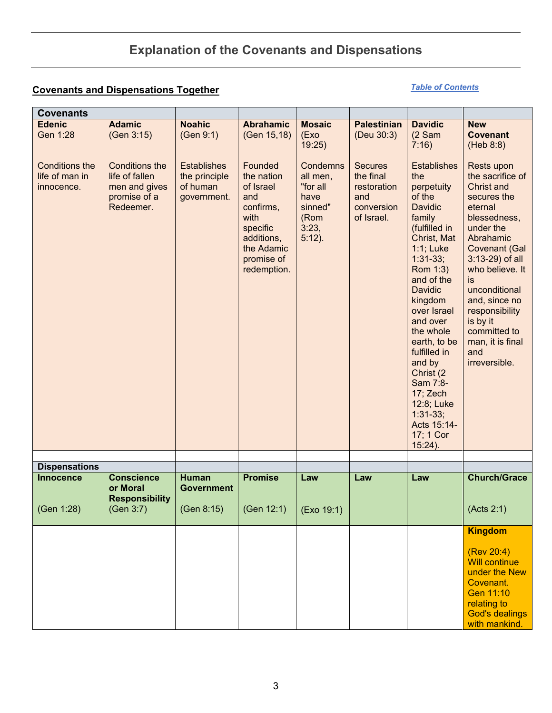# **Explanation of the Covenants and Dispensations**

## <span id="page-2-0"></span>**Covenants and Dispensations Together**

### *[Table of Contents](#page-0-0)*

| <b>Covenants</b>                                      |                                                                                       |                                                                |                                                                                                                                     |                                                                                   |                                                                               |                                                                                                                                                                                                                                                                                                                                                                                               |                                                                                                                                                                                                                                                                                                                                   |
|-------------------------------------------------------|---------------------------------------------------------------------------------------|----------------------------------------------------------------|-------------------------------------------------------------------------------------------------------------------------------------|-----------------------------------------------------------------------------------|-------------------------------------------------------------------------------|-----------------------------------------------------------------------------------------------------------------------------------------------------------------------------------------------------------------------------------------------------------------------------------------------------------------------------------------------------------------------------------------------|-----------------------------------------------------------------------------------------------------------------------------------------------------------------------------------------------------------------------------------------------------------------------------------------------------------------------------------|
| <b>Edenic</b><br>Gen 1:28                             | <b>Adamic</b><br>(Gen 3:15)                                                           | <b>Noahic</b><br>(Gen 9:1)                                     | <b>Abrahamic</b><br>(Gen 15,18)                                                                                                     | <b>Mosaic</b><br>(Exo)<br>19:25)                                                  | <b>Palestinian</b><br>(Deu 30:3)                                              | <b>Davidic</b><br>(2 Sam)<br>7:16)                                                                                                                                                                                                                                                                                                                                                            | <b>New</b><br><b>Covenant</b><br>(Heb 8:8)                                                                                                                                                                                                                                                                                        |
| <b>Conditions the</b><br>life of man in<br>innocence. | <b>Conditions the</b><br>life of fallen<br>men and gives<br>promise of a<br>Redeemer. | <b>Establishes</b><br>the principle<br>of human<br>government. | Founded<br>the nation<br>of Israel<br>and<br>confirms,<br>with<br>specific<br>additions,<br>the Adamic<br>promise of<br>redemption. | Condemns<br>all men,<br>"for all<br>have<br>sinned"<br>(Rom<br>3:23,<br>$5:12$ ). | <b>Secures</b><br>the final<br>restoration<br>and<br>conversion<br>of Israel. | <b>Establishes</b><br>the<br>perpetuity<br>of the<br><b>Davidic</b><br>family<br>(fulfilled in<br>Christ, Mat<br>1:1; Luke<br>$1:31-33;$<br>Rom 1:3)<br>and of the<br><b>Davidic</b><br>kingdom<br>over Israel<br>and over<br>the whole<br>earth, to be<br>fulfilled in<br>and by<br>Christ (2)<br>Sam 7:8-<br>17; Zech<br>12:8; Luke<br>$1:31-33;$<br>Acts 15:14-<br>17; 1 Cor<br>$15:24$ ). | <b>Rests upon</b><br>the sacrifice of<br><b>Christ and</b><br>secures the<br>eternal<br>blessedness,<br>under the<br>Abrahamic<br><b>Covenant (Gal</b><br>$3:13-29$ ) of all<br>who believe. It<br>is<br>unconditional<br>and, since no<br>responsibility<br>is by it<br>committed to<br>man, it is final<br>and<br>irreversible. |
| <b>Dispensations</b>                                  |                                                                                       |                                                                |                                                                                                                                     |                                                                                   |                                                                               |                                                                                                                                                                                                                                                                                                                                                                                               |                                                                                                                                                                                                                                                                                                                                   |
| <b>Innocence</b>                                      | <b>Conscience</b><br>or Moral                                                         | <b>Human</b><br><b>Government</b>                              | <b>Promise</b>                                                                                                                      | Law                                                                               | Law                                                                           | Law                                                                                                                                                                                                                                                                                                                                                                                           | <b>Church/Grace</b>                                                                                                                                                                                                                                                                                                               |
| (Gen 1:28)                                            | <b>Responsibility</b><br>(Gen 3:7)                                                    | (Gen 8:15)                                                     | (Gen 12:1)                                                                                                                          | (Exo 19:1)                                                                        |                                                                               |                                                                                                                                                                                                                                                                                                                                                                                               | (Acts 2:1)                                                                                                                                                                                                                                                                                                                        |
|                                                       |                                                                                       |                                                                |                                                                                                                                     |                                                                                   |                                                                               |                                                                                                                                                                                                                                                                                                                                                                                               | <b>Kingdom</b>                                                                                                                                                                                                                                                                                                                    |
|                                                       |                                                                                       |                                                                |                                                                                                                                     |                                                                                   |                                                                               |                                                                                                                                                                                                                                                                                                                                                                                               | (Rev 20:4)<br><b>Will continue</b><br>under the New<br>Covenant.<br>Gen 11:10<br>relating to<br><b>God's dealings</b><br>with mankind.                                                                                                                                                                                            |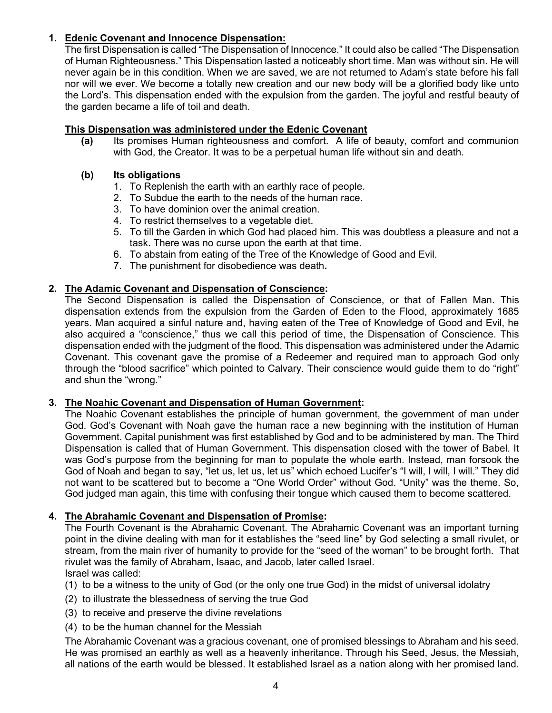### **1. Edenic Covenant and Innocence Dispensation:**

The first Dispensation is called "The Dispensation of Innocence." It could also be called "The Dispensation of Human Righteousness." This Dispensation lasted a noticeably short time. Man was without sin. He will never again be in this condition. When we are saved, we are not returned to Adam's state before his fall nor will we ever. We become a totally new creation and our new body will be a glorified body like unto the Lord's. This dispensation ended with the expulsion from the garden. The joyful and restful beauty of the garden became a life of toil and death.

### **This Dispensation was administered under the Edenic Covenant**

**(a)** Its promises Human righteousness and comfort. A life of beauty, comfort and communion with God, the Creator. It was to be a perpetual human life without sin and death.

### **(b) Its obligations**

- 1. To Replenish the earth with an earthly race of people.
- 2. To Subdue the earth to the needs of the human race.
- 3. To have dominion over the animal creation.
- 4. To restrict themselves to a vegetable diet.
- 5. To till the Garden in which God had placed him. This was doubtless a pleasure and not a task. There was no curse upon the earth at that time.
- 6. To abstain from eating of the Tree of the Knowledge of Good and Evil.
- 7. The punishment for disobedience was death**.**

### **2. The Adamic Covenant and Dispensation of Conscience:**

The Second Dispensation is called the Dispensation of Conscience, or that of Fallen Man. This dispensation extends from the expulsion from the Garden of Eden to the Flood, approximately 1685 years. Man acquired a sinful nature and, having eaten of the Tree of Knowledge of Good and Evil, he also acquired a "conscience," thus we call this period of time, the Dispensation of Conscience. This dispensation ended with the judgment of the flood. This dispensation was administered under the Adamic Covenant. This covenant gave the promise of a Redeemer and required man to approach God only through the "blood sacrifice" which pointed to Calvary. Their conscience would guide them to do "right" and shun the "wrong."

### **3. The Noahic Covenant and Dispensation of Human Government:**

The Noahic Covenant establishes the principle of human government, the government of man under God. God's Covenant with Noah gave the human race a new beginning with the institution of Human Government. Capital punishment was first established by God and to be administered by man. The Third Dispensation is called that of Human Government. This dispensation closed with the tower of Babel. It was God's purpose from the beginning for man to populate the whole earth. Instead, man forsook the God of Noah and began to say, "let us, let us, let us" which echoed Lucifer's "I will, I will, I will." They did not want to be scattered but to become a "One World Order" without God. "Unity" was the theme. So, God judged man again, this time with confusing their tongue which caused them to become scattered.

### **4. The Abrahamic Covenant and Dispensation of Promise:**

The Fourth Covenant is the Abrahamic Covenant. The Abrahamic Covenant was an important turning point in the divine dealing with man for it establishes the "seed line" by God selecting a small rivulet, or stream, from the main river of humanity to provide for the "seed of the woman" to be brought forth. That rivulet was the family of Abraham, Isaac, and Jacob, later called Israel. Israel was called:

- (1) to be a witness to the unity of God (or the only one true God) in the midst of universal idolatry
- (2) to illustrate the blessedness of serving the true God
- (3) to receive and preserve the divine revelations
- (4) to be the human channel for the Messiah

The Abrahamic Covenant was a gracious covenant, one of promised blessings to Abraham and his seed. He was promised an earthly as well as a heavenly inheritance. Through his Seed, Jesus, the Messiah, all nations of the earth would be blessed. It established Israel as a nation along with her promised land.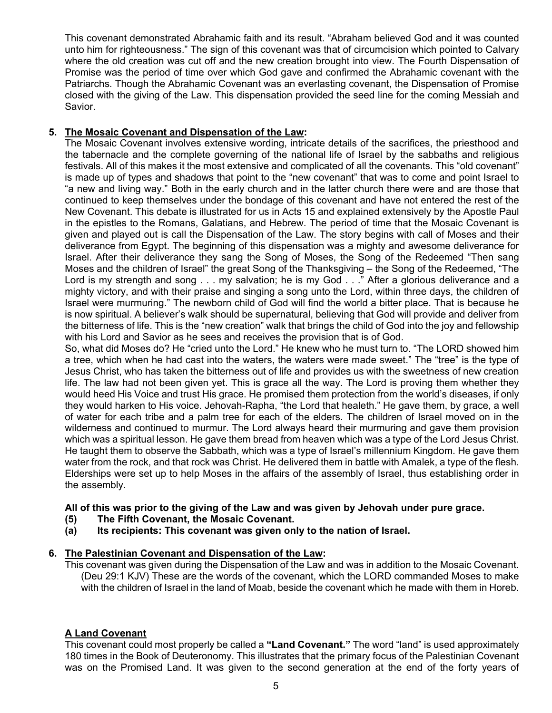This covenant demonstrated Abrahamic faith and its result. "Abraham believed God and it was counted unto him for righteousness." The sign of this covenant was that of circumcision which pointed to Calvary where the old creation was cut off and the new creation brought into view. The Fourth Dispensation of Promise was the period of time over which God gave and confirmed the Abrahamic covenant with the Patriarchs. Though the Abrahamic Covenant was an everlasting covenant, the Dispensation of Promise closed with the giving of the Law. This dispensation provided the seed line for the coming Messiah and Savior.

### **5. The Mosaic Covenant and Dispensation of the Law:**

The Mosaic Covenant involves extensive wording, intricate details of the sacrifices, the priesthood and the tabernacle and the complete governing of the national life of Israel by the sabbaths and religious festivals. All of this makes it the most extensive and complicated of all the covenants. This "old covenant" is made up of types and shadows that point to the "new covenant" that was to come and point Israel to "a new and living way." Both in the early church and in the latter church there were and are those that continued to keep themselves under the bondage of this covenant and have not entered the rest of the New Covenant. This debate is illustrated for us in Acts 15 and explained extensively by the Apostle Paul in the epistles to the Romans, Galatians, and Hebrew. The period of time that the Mosaic Covenant is given and played out is call the Dispensation of the Law. The story begins with call of Moses and their deliverance from Egypt. The beginning of this dispensation was a mighty and awesome deliverance for Israel. After their deliverance they sang the Song of Moses, the Song of the Redeemed "Then sang Moses and the children of Israel" the great Song of the Thanksgiving – the Song of the Redeemed, "The Lord is my strength and song . . . my salvation; he is my God . . ." After a glorious deliverance and a mighty victory, and with their praise and singing a song unto the Lord, within three days, the children of Israel were murmuring." The newborn child of God will find the world a bitter place. That is because he is now spiritual. A believer's walk should be supernatural, believing that God will provide and deliver from the bitterness of life. This is the "new creation" walk that brings the child of God into the joy and fellowship with his Lord and Savior as he sees and receives the provision that is of God.

So, what did Moses do? He "cried unto the Lord." He knew who he must turn to. "The LORD showed him a tree, which when he had cast into the waters, the waters were made sweet." The "tree" is the type of Jesus Christ, who has taken the bitterness out of life and provides us with the sweetness of new creation life. The law had not been given yet. This is grace all the way. The Lord is proving them whether they would heed His Voice and trust His grace. He promised them protection from the world's diseases, if only they would harken to His voice. Jehovah-Rapha, "the Lord that healeth." He gave them, by grace, a well of water for each tribe and a palm tree for each of the elders. The children of Israel moved on in the wilderness and continued to murmur. The Lord always heard their murmuring and gave them provision which was a spiritual lesson. He gave them bread from heaven which was a type of the Lord Jesus Christ. He taught them to observe the Sabbath, which was a type of Israel's millennium Kingdom. He gave them water from the rock, and that rock was Christ. He delivered them in battle with Amalek, a type of the flesh. Elderships were set up to help Moses in the affairs of the assembly of Israel, thus establishing order in the assembly.

### **All of this was prior to the giving of the Law and was given by Jehovah under pure grace.**

- **(5) The Fifth Covenant, the Mosaic Covenant.**
- **(a) Its recipients: This covenant was given only to the nation of Israel.**

### **6. The Palestinian Covenant and Dispensation of the Law:**

This covenant was given during the Dispensation of the Law and was in addition to the Mosaic Covenant. (Deu 29:1 KJV) These are the words of the covenant, which the LORD commanded Moses to make with the children of Israel in the land of Moab, beside the covenant which he made with them in Horeb.

### **A Land Covenant**

This covenant could most properly be called a **"Land Covenant."** The word "land" is used approximately 180 times in the Book of Deuteronomy. This illustrates that the primary focus of the Palestinian Covenant was on the Promised Land. It was given to the second generation at the end of the forty years of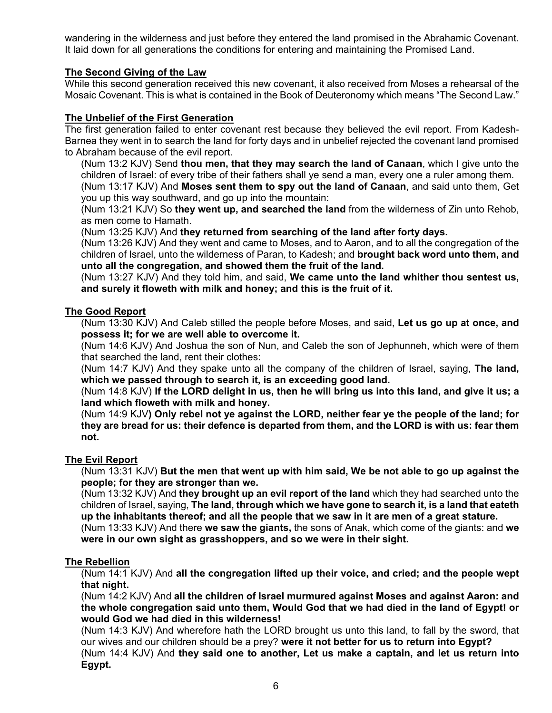wandering in the wilderness and just before they entered the land promised in the Abrahamic Covenant. It laid down for all generations the conditions for entering and maintaining the Promised Land.

### **The Second Giving of the Law**

While this second generation received this new covenant, it also received from Moses a rehearsal of the Mosaic Covenant. This is what is contained in the Book of Deuteronomy which means "The Second Law."

### **The Unbelief of the First Generation**

The first generation failed to enter covenant rest because they believed the evil report. From Kadesh-Barnea they went in to search the land for forty days and in unbelief rejected the covenant land promised to Abraham because of the evil report.

(Num 13:2 KJV) Send **thou men, that they may search the land of Canaan**, which I give unto the children of Israel: of every tribe of their fathers shall ye send a man, every one a ruler among them. (Num 13:17 KJV) And **Moses sent them to spy out the land of Canaan**, and said unto them, Get you up this way southward, and go up into the mountain:

(Num 13:21 KJV) So **they went up, and searched the land** from the wilderness of Zin unto Rehob, as men come to Hamath.

(Num 13:25 KJV) And **they returned from searching of the land after forty days.**

(Num 13:26 KJV) And they went and came to Moses, and to Aaron, and to all the congregation of the children of Israel, unto the wilderness of Paran, to Kadesh; and **brought back word unto them, and unto all the congregation, and showed them the fruit of the land.**

(Num 13:27 KJV) And they told him, and said, **We came unto the land whither thou sentest us, and surely it floweth with milk and honey; and this is the fruit of it.**

### **The Good Report**

(Num 13:30 KJV) And Caleb stilled the people before Moses, and said, **Let us go up at once, and possess it; for we are well able to overcome it.** 

(Num 14:6 KJV) And Joshua the son of Nun, and Caleb the son of Jephunneh, which were of them that searched the land, rent their clothes:

(Num 14:7 KJV) And they spake unto all the company of the children of Israel, saying, **The land, which we passed through to search it, is an exceeding good land.**

(Num 14:8 KJV) **If the LORD delight in us, then he will bring us into this land, and give it us; a land which floweth with milk and honey.**

(Num 14:9 KJV**) Only rebel not ye against the LORD, neither fear ye the people of the land; for they are bread for us: their defence is departed from them, and the LORD is with us: fear them not.**

#### **The Evil Report**

(Num 13:31 KJV) **But the men that went up with him said, We be not able to go up against the people; for they are stronger than we.**

(Num 13:32 KJV) And **they brought up an evil report of the land** which they had searched unto the children of Israel, saying, **The land, through which we have gone to search it, is a land that eateth up the inhabitants thereof; and all the people that we saw in it are men of a great stature.**

(Num 13:33 KJV) And there **we saw the giants,** the sons of Anak, which come of the giants: and **we were in our own sight as grasshoppers, and so we were in their sight.**

#### **The Rebellion**

(Num 14:1 KJV) And **all the congregation lifted up their voice, and cried; and the people wept that night.**

(Num 14:2 KJV) And **all the children of Israel murmured against Moses and against Aaron: and the whole congregation said unto them, Would God that we had died in the land of Egypt! or would God we had died in this wilderness!**

(Num 14:3 KJV) And wherefore hath the LORD brought us unto this land, to fall by the sword, that our wives and our children should be a prey? **were it not better for us to return into Egypt?**

(Num 14:4 KJV) And **they said one to another, Let us make a captain, and let us return into Egypt.**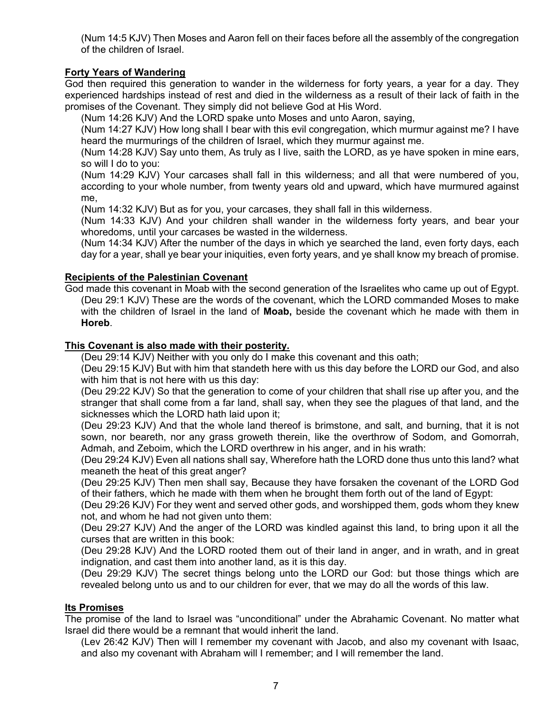(Num 14:5 KJV) Then Moses and Aaron fell on their faces before all the assembly of the congregation of the children of Israel.

### **Forty Years of Wandering**

God then required this generation to wander in the wilderness for forty years, a year for a day. They experienced hardships instead of rest and died in the wilderness as a result of their lack of faith in the promises of the Covenant. They simply did not believe God at His Word.

(Num 14:26 KJV) And the LORD spake unto Moses and unto Aaron, saying,

(Num 14:27 KJV) How long shall I bear with this evil congregation, which murmur against me? I have heard the murmurings of the children of Israel, which they murmur against me.

(Num 14:28 KJV) Say unto them, As truly as I live, saith the LORD, as ye have spoken in mine ears, so will I do to you:

(Num 14:29 KJV) Your carcases shall fall in this wilderness; and all that were numbered of you, according to your whole number, from twenty years old and upward, which have murmured against me,

(Num 14:32 KJV) But as for you, your carcases, they shall fall in this wilderness.

(Num 14:33 KJV) And your children shall wander in the wilderness forty years, and bear your whoredoms, until your carcases be wasted in the wilderness.

(Num 14:34 KJV) After the number of the days in which ye searched the land, even forty days, each day for a year, shall ye bear your iniquities, even forty years, and ye shall know my breach of promise.

### **Recipients of the Palestinian Covenant**

God made this covenant in Moab with the second generation of the Israelites who came up out of Egypt. (Deu 29:1 KJV) These are the words of the covenant, which the LORD commanded Moses to make with the children of Israel in the land of **Moab,** beside the covenant which he made with them in **Horeb**.

### **This Covenant is also made with their posterity.**

(Deu 29:14 KJV) Neither with you only do I make this covenant and this oath;

(Deu 29:15 KJV) But with him that standeth here with us this day before the LORD our God, and also with him that is not here with us this day:

(Deu 29:22 KJV) So that the generation to come of your children that shall rise up after you, and the stranger that shall come from a far land, shall say, when they see the plagues of that land, and the sicknesses which the LORD hath laid upon it;

(Deu 29:23 KJV) And that the whole land thereof is brimstone, and salt, and burning, that it is not sown, nor beareth, nor any grass groweth therein, like the overthrow of Sodom, and Gomorrah, Admah, and Zeboim, which the LORD overthrew in his anger, and in his wrath:

(Deu 29:24 KJV) Even all nations shall say, Wherefore hath the LORD done thus unto this land? what meaneth the heat of this great anger?

(Deu 29:25 KJV) Then men shall say, Because they have forsaken the covenant of the LORD God of their fathers, which he made with them when he brought them forth out of the land of Egypt:

(Deu 29:26 KJV) For they went and served other gods, and worshipped them, gods whom they knew not, and whom he had not given unto them:

(Deu 29:27 KJV) And the anger of the LORD was kindled against this land, to bring upon it all the curses that are written in this book:

(Deu 29:28 KJV) And the LORD rooted them out of their land in anger, and in wrath, and in great indignation, and cast them into another land, as it is this day.

(Deu 29:29 KJV) The secret things belong unto the LORD our God: but those things which are revealed belong unto us and to our children for ever, that we may do all the words of this law.

#### **Its Promises**

The promise of the land to Israel was "unconditional" under the Abrahamic Covenant. No matter what Israel did there would be a remnant that would inherit the land.

(Lev 26:42 KJV) Then will I remember my covenant with Jacob, and also my covenant with Isaac, and also my covenant with Abraham will I remember; and I will remember the land.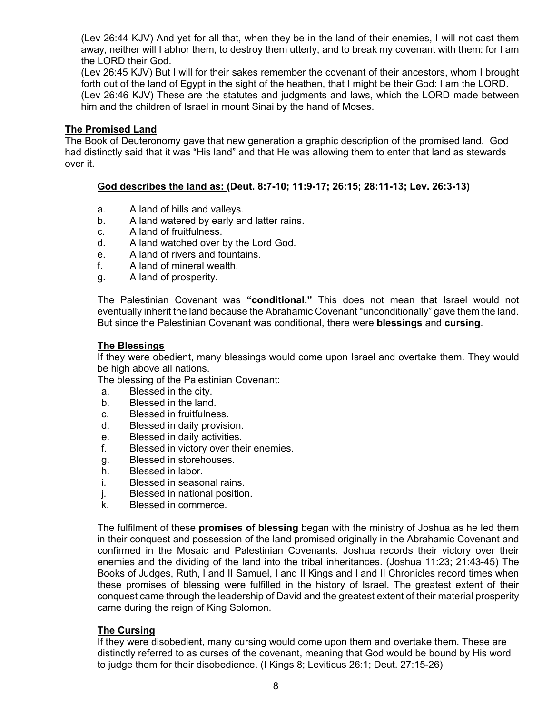(Lev 26:44 KJV) And yet for all that, when they be in the land of their enemies, I will not cast them away, neither will I abhor them, to destroy them utterly, and to break my covenant with them: for I am the LORD their God.

(Lev 26:45 KJV) But I will for their sakes remember the covenant of their ancestors, whom I brought forth out of the land of Egypt in the sight of the heathen, that I might be their God: I am the LORD. (Lev 26:46 KJV) These are the statutes and judgments and laws, which the LORD made between him and the children of Israel in mount Sinai by the hand of Moses.

### **The Promised Land**

The Book of Deuteronomy gave that new generation a graphic description of the promised land. God had distinctly said that it was "His land" and that He was allowing them to enter that land as stewards over it.

### **God describes the land as: (Deut. 8:7-10; 11:9-17; 26:15; 28:11-13; Lev. 26:3-13)**

- a. A land of hills and valleys.
- b. A land watered by early and latter rains.
- c. A land of fruitfulness.
- d. A land watched over by the Lord God.
- e. A land of rivers and fountains.
- f. A land of mineral wealth.
- g. A land of prosperity.

The Palestinian Covenant was **"conditional."** This does not mean that Israel would not eventually inherit the land because the Abrahamic Covenant "unconditionally" gave them the land. But since the Palestinian Covenant was conditional, there were **blessings** and **cursing**.

#### **The Blessings**

If they were obedient, many blessings would come upon Israel and overtake them. They would be high above all nations.

The blessing of the Palestinian Covenant:

- a. Blessed in the city.
- b. Blessed in the land.
- c. Blessed in fruitfulness.
- d. Blessed in daily provision.
- e. Blessed in daily activities.
- f. Blessed in victory over their enemies.
- g. Blessed in storehouses.
- h. Blessed in labor.
- i. Blessed in seasonal rains.
- j. Blessed in national position.
- k. Blessed in commerce.

The fulfilment of these **promises of blessing** began with the ministry of Joshua as he led them in their conquest and possession of the land promised originally in the Abrahamic Covenant and confirmed in the Mosaic and Palestinian Covenants. Joshua records their victory over their enemies and the dividing of the land into the tribal inheritances. (Joshua 11:23; 21:43-45) The Books of Judges, Ruth, I and II Samuel, I and II Kings and I and II Chronicles record times when these promises of blessing were fulfilled in the history of Israel. The greatest extent of their conquest came through the leadership of David and the greatest extent of their material prosperity came during the reign of King Solomon.

#### **The Cursing**

If they were disobedient, many cursing would come upon them and overtake them. These are distinctly referred to as curses of the covenant, meaning that God would be bound by His word to judge them for their disobedience. (I Kings 8; Leviticus 26:1; Deut. 27:15-26)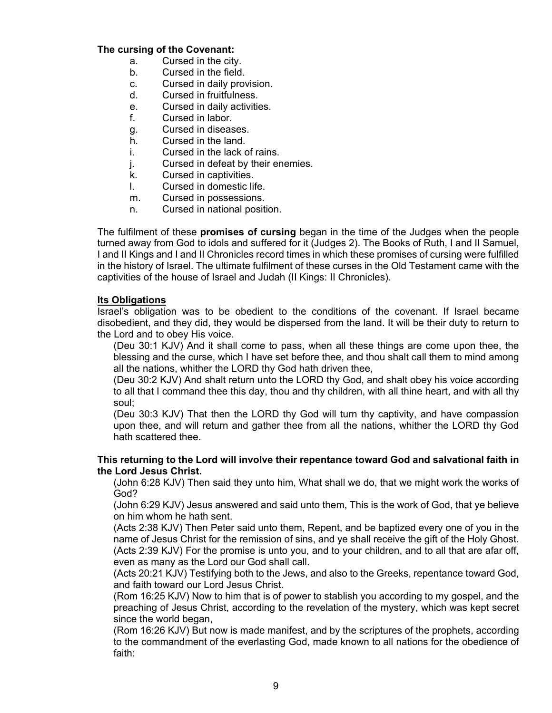### **The cursing of the Covenant:**

- a. Cursed in the city.
- b. Cursed in the field.
- c. Cursed in daily provision.
- d. Cursed in fruitfulness.
- e. Cursed in daily activities.
- f. Cursed in labor.
- g. Cursed in diseases.
- h. Cursed in the land.
- i. Cursed in the lack of rains.
- j. Cursed in defeat by their enemies.
- k. Cursed in captivities.
- l. Cursed in domestic life.
- m. Cursed in possessions.
- n. Cursed in national position.

The fulfilment of these **promises of cursing** began in the time of the Judges when the people turned away from God to idols and suffered for it (Judges 2). The Books of Ruth, I and II Samuel, I and II Kings and I and II Chronicles record times in which these promises of cursing were fulfilled in the history of Israel. The ultimate fulfilment of these curses in the Old Testament came with the captivities of the house of Israel and Judah (II Kings: II Chronicles).

### **Its Obligations**

Israel's obligation was to be obedient to the conditions of the covenant. If Israel became disobedient, and they did, they would be dispersed from the land. It will be their duty to return to the Lord and to obey His voice.

(Deu 30:1 KJV) And it shall come to pass, when all these things are come upon thee, the blessing and the curse, which I have set before thee, and thou shalt call them to mind among all the nations, whither the LORD thy God hath driven thee,

(Deu 30:2 KJV) And shalt return unto the LORD thy God, and shalt obey his voice according to all that I command thee this day, thou and thy children, with all thine heart, and with all thy soul;

(Deu 30:3 KJV) That then the LORD thy God will turn thy captivity, and have compassion upon thee, and will return and gather thee from all the nations, whither the LORD thy God hath scattered thee.

### **This returning to the Lord will involve their repentance toward God and salvational faith in the Lord Jesus Christ.**

(John 6:28 KJV) Then said they unto him, What shall we do, that we might work the works of God?

(John 6:29 KJV) Jesus answered and said unto them, This is the work of God, that ye believe on him whom he hath sent.

(Acts 2:38 KJV) Then Peter said unto them, Repent, and be baptized every one of you in the name of Jesus Christ for the remission of sins, and ye shall receive the gift of the Holy Ghost. (Acts 2:39 KJV) For the promise is unto you, and to your children, and to all that are afar off, even as many as the Lord our God shall call.

(Acts 20:21 KJV) Testifying both to the Jews, and also to the Greeks, repentance toward God, and faith toward our Lord Jesus Christ.

(Rom 16:25 KJV) Now to him that is of power to stablish you according to my gospel, and the preaching of Jesus Christ, according to the revelation of the mystery, which was kept secret since the world began,

(Rom 16:26 KJV) But now is made manifest, and by the scriptures of the prophets, according to the commandment of the everlasting God, made known to all nations for the obedience of faith: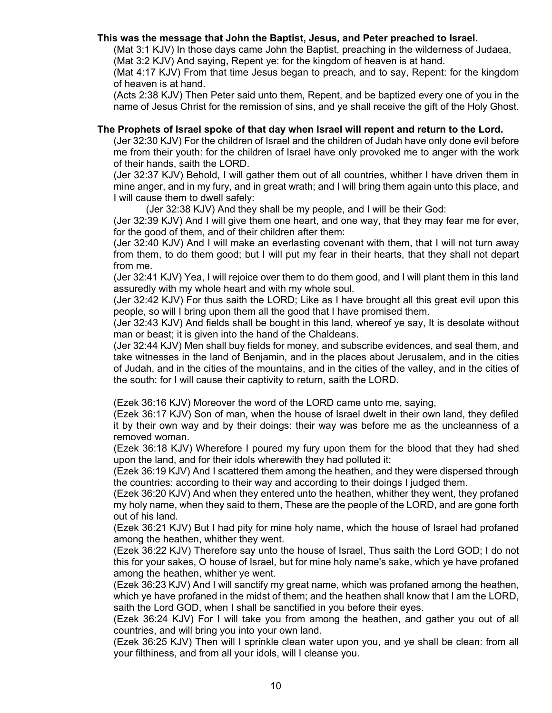### **This was the message that John the Baptist, Jesus, and Peter preached to Israel.**

(Mat 3:1 KJV) In those days came John the Baptist, preaching in the wilderness of Judaea, (Mat 3:2 KJV) And saying, Repent ye: for the kingdom of heaven is at hand.

(Mat 4:17 KJV) From that time Jesus began to preach, and to say, Repent: for the kingdom of heaven is at hand.

(Acts 2:38 KJV) Then Peter said unto them, Repent, and be baptized every one of you in the name of Jesus Christ for the remission of sins, and ye shall receive the gift of the Holy Ghost.

### **The Prophets of Israel spoke of that day when Israel will repent and return to the Lord.**

(Jer 32:30 KJV) For the children of Israel and the children of Judah have only done evil before me from their youth: for the children of Israel have only provoked me to anger with the work of their hands, saith the LORD.

(Jer 32:37 KJV) Behold, I will gather them out of all countries, whither I have driven them in mine anger, and in my fury, and in great wrath; and I will bring them again unto this place, and I will cause them to dwell safely:

(Jer 32:38 KJV) And they shall be my people, and I will be their God:

(Jer 32:39 KJV) And I will give them one heart, and one way, that they may fear me for ever, for the good of them, and of their children after them:

(Jer 32:40 KJV) And I will make an everlasting covenant with them, that I will not turn away from them, to do them good; but I will put my fear in their hearts, that they shall not depart from me.

(Jer 32:41 KJV) Yea, I will rejoice over them to do them good, and I will plant them in this land assuredly with my whole heart and with my whole soul.

(Jer 32:42 KJV) For thus saith the LORD; Like as I have brought all this great evil upon this people, so will I bring upon them all the good that I have promised them.

(Jer 32:43 KJV) And fields shall be bought in this land, whereof ye say, It is desolate without man or beast; it is given into the hand of the Chaldeans.

(Jer 32:44 KJV) Men shall buy fields for money, and subscribe evidences, and seal them, and take witnesses in the land of Benjamin, and in the places about Jerusalem, and in the cities of Judah, and in the cities of the mountains, and in the cities of the valley, and in the cities of the south: for I will cause their captivity to return, saith the LORD.

(Ezek 36:16 KJV) Moreover the word of the LORD came unto me, saying,

(Ezek 36:17 KJV) Son of man, when the house of Israel dwelt in their own land, they defiled it by their own way and by their doings: their way was before me as the uncleanness of a removed woman.

(Ezek 36:18 KJV) Wherefore I poured my fury upon them for the blood that they had shed upon the land, and for their idols wherewith they had polluted it:

(Ezek 36:19 KJV) And I scattered them among the heathen, and they were dispersed through the countries: according to their way and according to their doings I judged them.

(Ezek 36:20 KJV) And when they entered unto the heathen, whither they went, they profaned my holy name, when they said to them, These are the people of the LORD, and are gone forth out of his land.

(Ezek 36:21 KJV) But I had pity for mine holy name, which the house of Israel had profaned among the heathen, whither they went.

(Ezek 36:22 KJV) Therefore say unto the house of Israel, Thus saith the Lord GOD; I do not this for your sakes, O house of Israel, but for mine holy name's sake, which ye have profaned among the heathen, whither ye went.

(Ezek 36:23 KJV) And I will sanctify my great name, which was profaned among the heathen, which ye have profaned in the midst of them; and the heathen shall know that I am the LORD, saith the Lord GOD, when I shall be sanctified in you before their eyes.

(Ezek 36:24 KJV) For I will take you from among the heathen, and gather you out of all countries, and will bring you into your own land.

(Ezek 36:25 KJV) Then will I sprinkle clean water upon you, and ye shall be clean: from all your filthiness, and from all your idols, will I cleanse you.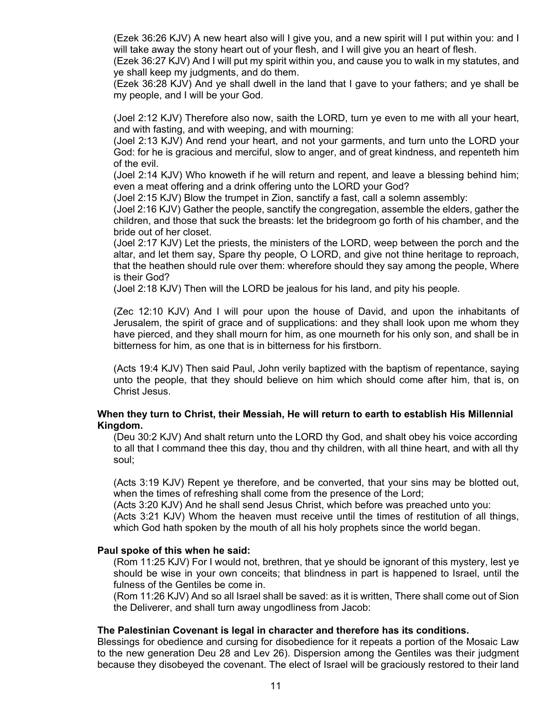(Ezek 36:26 KJV) A new heart also will I give you, and a new spirit will I put within you: and I will take away the stony heart out of your flesh, and I will give you an heart of flesh.

(Ezek 36:27 KJV) And I will put my spirit within you, and cause you to walk in my statutes, and ye shall keep my judgments, and do them.

(Ezek 36:28 KJV) And ye shall dwell in the land that I gave to your fathers; and ye shall be my people, and I will be your God.

(Joel 2:12 KJV) Therefore also now, saith the LORD, turn ye even to me with all your heart, and with fasting, and with weeping, and with mourning:

(Joel 2:13 KJV) And rend your heart, and not your garments, and turn unto the LORD your God: for he is gracious and merciful, slow to anger, and of great kindness, and repenteth him of the evil.

(Joel 2:14 KJV) Who knoweth if he will return and repent, and leave a blessing behind him; even a meat offering and a drink offering unto the LORD your God?

(Joel 2:15 KJV) Blow the trumpet in Zion, sanctify a fast, call a solemn assembly:

(Joel 2:16 KJV) Gather the people, sanctify the congregation, assemble the elders, gather the children, and those that suck the breasts: let the bridegroom go forth of his chamber, and the bride out of her closet.

(Joel 2:17 KJV) Let the priests, the ministers of the LORD, weep between the porch and the altar, and let them say, Spare thy people, O LORD, and give not thine heritage to reproach, that the heathen should rule over them: wherefore should they say among the people, Where is their God?

(Joel 2:18 KJV) Then will the LORD be jealous for his land, and pity his people.

(Zec 12:10 KJV) And I will pour upon the house of David, and upon the inhabitants of Jerusalem, the spirit of grace and of supplications: and they shall look upon me whom they have pierced, and they shall mourn for him, as one mourneth for his only son, and shall be in bitterness for him, as one that is in bitterness for his firstborn.

(Acts 19:4 KJV) Then said Paul, John verily baptized with the baptism of repentance, saying unto the people, that they should believe on him which should come after him, that is, on Christ Jesus.

#### **When they turn to Christ, their Messiah, He will return to earth to establish His Millennial Kingdom.**

(Deu 30:2 KJV) And shalt return unto the LORD thy God, and shalt obey his voice according to all that I command thee this day, thou and thy children, with all thine heart, and with all thy soul;

(Acts 3:19 KJV) Repent ye therefore, and be converted, that your sins may be blotted out, when the times of refreshing shall come from the presence of the Lord;

(Acts 3:20 KJV) And he shall send Jesus Christ, which before was preached unto you:

(Acts 3:21 KJV) Whom the heaven must receive until the times of restitution of all things, which God hath spoken by the mouth of all his holy prophets since the world began.

#### **Paul spoke of this when he said:**

(Rom 11:25 KJV) For I would not, brethren, that ye should be ignorant of this mystery, lest ye should be wise in your own conceits; that blindness in part is happened to Israel, until the fulness of the Gentiles be come in.

(Rom 11:26 KJV) And so all Israel shall be saved: as it is written, There shall come out of Sion the Deliverer, and shall turn away ungodliness from Jacob:

#### **The Palestinian Covenant is legal in character and therefore has its conditions.**

Blessings for obedience and cursing for disobedience for it repeats a portion of the Mosaic Law to the new generation Deu 28 and Lev 26). Dispersion among the Gentiles was their judgment because they disobeyed the covenant. The elect of Israel will be graciously restored to their land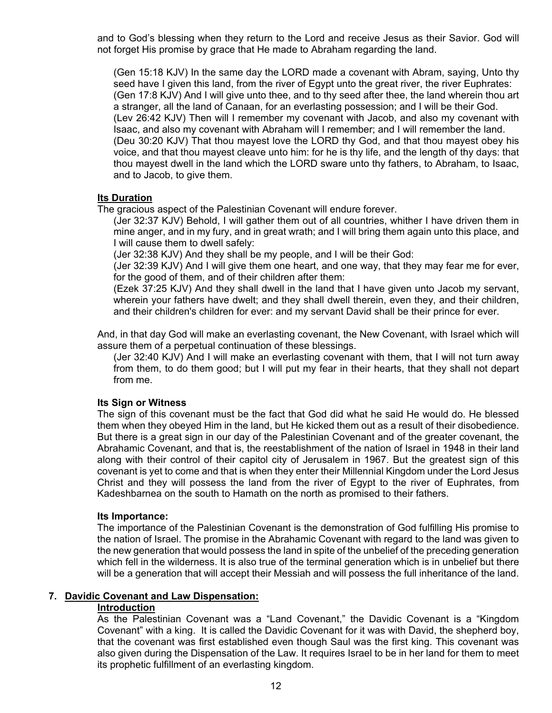and to God's blessing when they return to the Lord and receive Jesus as their Savior. God will not forget His promise by grace that He made to Abraham regarding the land.

(Gen 15:18 KJV) In the same day the LORD made a covenant with Abram, saying, Unto thy seed have I given this land, from the river of Egypt unto the great river, the river Euphrates: (Gen 17:8 KJV) And I will give unto thee, and to thy seed after thee, the land wherein thou art a stranger, all the land of Canaan, for an everlasting possession; and I will be their God. (Lev 26:42 KJV) Then will I remember my covenant with Jacob, and also my covenant with Isaac, and also my covenant with Abraham will I remember; and I will remember the land. (Deu 30:20 KJV) That thou mayest love the LORD thy God, and that thou mayest obey his voice, and that thou mayest cleave unto him: for he is thy life, and the length of thy days: that thou mayest dwell in the land which the LORD sware unto thy fathers, to Abraham, to Isaac, and to Jacob, to give them.

#### **Its Duration**

The gracious aspect of the Palestinian Covenant will endure forever.

(Jer 32:37 KJV) Behold, I will gather them out of all countries, whither I have driven them in mine anger, and in my fury, and in great wrath; and I will bring them again unto this place, and I will cause them to dwell safely:

(Jer 32:38 KJV) And they shall be my people, and I will be their God:

(Jer 32:39 KJV) And I will give them one heart, and one way, that they may fear me for ever, for the good of them, and of their children after them:

(Ezek 37:25 KJV) And they shall dwell in the land that I have given unto Jacob my servant, wherein your fathers have dwelt; and they shall dwell therein, even they, and their children, and their children's children for ever: and my servant David shall be their prince for ever.

And, in that day God will make an everlasting covenant, the New Covenant, with Israel which will assure them of a perpetual continuation of these blessings.

(Jer 32:40 KJV) And I will make an everlasting covenant with them, that I will not turn away from them, to do them good; but I will put my fear in their hearts, that they shall not depart from me.

#### **Its Sign or Witness**

The sign of this covenant must be the fact that God did what he said He would do. He blessed them when they obeyed Him in the land, but He kicked them out as a result of their disobedience. But there is a great sign in our day of the Palestinian Covenant and of the greater covenant, the Abrahamic Covenant, and that is, the reestablishment of the nation of Israel in 1948 in their land along with their control of their capitol city of Jerusalem in 1967. But the greatest sign of this covenant is yet to come and that is when they enter their Millennial Kingdom under the Lord Jesus Christ and they will possess the land from the river of Egypt to the river of Euphrates, from Kadeshbarnea on the south to Hamath on the north as promised to their fathers.

#### **Its Importance:**

The importance of the Palestinian Covenant is the demonstration of God fulfilling His promise to the nation of Israel. The promise in the Abrahamic Covenant with regard to the land was given to the new generation that would possess the land in spite of the unbelief of the preceding generation which fell in the wilderness. It is also true of the terminal generation which is in unbelief but there will be a generation that will accept their Messiah and will possess the full inheritance of the land.

### **7. Davidic Covenant and Law Dispensation:**

#### **Introduction**

As the Palestinian Covenant was a "Land Covenant," the Davidic Covenant is a "Kingdom Covenant" with a king. It is called the Davidic Covenant for it was with David, the shepherd boy, that the covenant was first established even though Saul was the first king. This covenant was also given during the Dispensation of the Law. It requires Israel to be in her land for them to meet its prophetic fulfillment of an everlasting kingdom.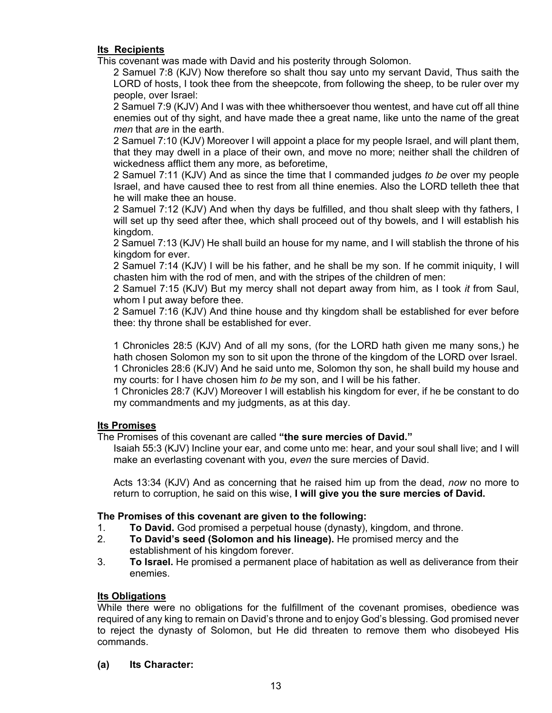### **Its Recipients**

This covenant was made with David and his posterity through Solomon.

2 Samuel 7:8 (KJV) Now therefore so shalt thou say unto my servant David, Thus saith the LORD of hosts, I took thee from the sheepcote, from following the sheep, to be ruler over my people, over Israel:

2 Samuel 7:9 (KJV) And I was with thee whithersoever thou wentest, and have cut off all thine enemies out of thy sight, and have made thee a great name, like unto the name of the great *men* that *are* in the earth.

2 Samuel 7:10 (KJV) Moreover I will appoint a place for my people Israel, and will plant them, that they may dwell in a place of their own, and move no more; neither shall the children of wickedness afflict them any more, as beforetime,

2 Samuel 7:11 (KJV) And as since the time that I commanded judges *to be* over my people Israel, and have caused thee to rest from all thine enemies. Also the LORD telleth thee that he will make thee an house.

2 Samuel 7:12 (KJV) And when thy days be fulfilled, and thou shalt sleep with thy fathers, I will set up thy seed after thee, which shall proceed out of thy bowels, and I will establish his kingdom.

2 Samuel 7:13 (KJV) He shall build an house for my name, and I will stablish the throne of his kingdom for ever.

2 Samuel 7:14 (KJV) I will be his father, and he shall be my son. If he commit iniquity, I will chasten him with the rod of men, and with the stripes of the children of men:

2 Samuel 7:15 (KJV) But my mercy shall not depart away from him, as I took *it* from Saul, whom I put away before thee.

2 Samuel 7:16 (KJV) And thine house and thy kingdom shall be established for ever before thee: thy throne shall be established for ever.

1 Chronicles 28:5 (KJV) And of all my sons, (for the LORD hath given me many sons,) he hath chosen Solomon my son to sit upon the throne of the kingdom of the LORD over Israel. 1 Chronicles 28:6 (KJV) And he said unto me, Solomon thy son, he shall build my house and my courts: for I have chosen him *to be* my son, and I will be his father.

1 Chronicles 28:7 (KJV) Moreover I will establish his kingdom for ever, if he be constant to do my commandments and my judgments, as at this day.

### **Its Promises**

The Promises of this covenant are called **"the sure mercies of David."**

Isaiah 55:3 (KJV) Incline your ear, and come unto me: hear, and your soul shall live; and I will make an everlasting covenant with you, *even* the sure mercies of David.

Acts 13:34 (KJV) And as concerning that he raised him up from the dead, *now* no more to return to corruption, he said on this wise, **I will give you the sure mercies of David.**

### **The Promises of this covenant are given to the following:**

- 1. **To David.** God promised a perpetual house (dynasty), kingdom, and throne.
- 2. **To David's seed (Solomon and his lineage).** He promised mercy and the establishment of his kingdom forever.
- 3. **To Israel.** He promised a permanent place of habitation as well as deliverance from their enemies.

### **Its Obligations**

While there were no obligations for the fulfillment of the covenant promises, obedience was required of any king to remain on David's throne and to enjoy God's blessing. God promised never to reject the dynasty of Solomon, but He did threaten to remove them who disobeyed His commands.

**(a) Its Character:**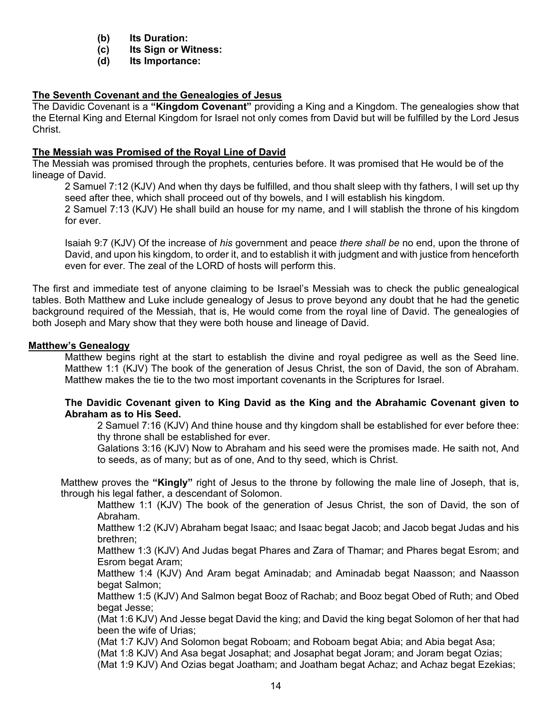- **(b) Its Duration:**
- **(c) Its Sign or Witness:**
- **(d) Its Importance:**

### **The Seventh Covenant and the Genealogies of Jesus**

The Davidic Covenant is a **"Kingdom Covenant"** providing a King and a Kingdom. The genealogies show that the Eternal King and Eternal Kingdom for Israel not only comes from David but will be fulfilled by the Lord Jesus Christ.

### **The Messiah was Promised of the Royal Line of David**

The Messiah was promised through the prophets, centuries before. It was promised that He would be of the lineage of David.

2 Samuel 7:12 (KJV) And when thy days be fulfilled, and thou shalt sleep with thy fathers, I will set up thy seed after thee, which shall proceed out of thy bowels, and I will establish his kingdom.

2 Samuel 7:13 (KJV) He shall build an house for my name, and I will stablish the throne of his kingdom for ever.

Isaiah 9:7 (KJV) Of the increase of *his* government and peace *there shall be* no end, upon the throne of David, and upon his kingdom, to order it, and to establish it with judgment and with justice from henceforth even for ever. The zeal of the LORD of hosts will perform this.

The first and immediate test of anyone claiming to be Israel's Messiah was to check the public genealogical tables. Both Matthew and Luke include genealogy of Jesus to prove beyond any doubt that he had the genetic background required of the Messiah, that is, He would come from the royal line of David. The genealogies of both Joseph and Mary show that they were both house and lineage of David.

#### **Matthew's Genealogy**

Matthew begins right at the start to establish the divine and royal pedigree as well as the Seed line. Matthew 1:1 (KJV) The book of the generation of Jesus Christ, the son of David, the son of Abraham. Matthew makes the tie to the two most important covenants in the Scriptures for Israel.

### **The Davidic Covenant given to King David as the King and the Abrahamic Covenant given to Abraham as to His Seed.**

2 Samuel 7:16 (KJV) And thine house and thy kingdom shall be established for ever before thee: thy throne shall be established for ever.

Galations 3:16 (KJV) Now to Abraham and his seed were the promises made. He saith not, And to seeds, as of many; but as of one, And to thy seed, which is Christ.

Matthew proves the **"Kingly"** right of Jesus to the throne by following the male line of Joseph, that is, through his legal father, a descendant of Solomon.

Matthew 1:1 (KJV) The book of the generation of Jesus Christ, the son of David, the son of Abraham.

Matthew 1:2 (KJV) Abraham begat Isaac; and Isaac begat Jacob; and Jacob begat Judas and his brethren;

Matthew 1:3 (KJV) And Judas begat Phares and Zara of Thamar; and Phares begat Esrom; and Esrom begat Aram;

Matthew 1:4 (KJV) And Aram begat Aminadab; and Aminadab begat Naasson; and Naasson begat Salmon;

Matthew 1:5 (KJV) And Salmon begat Booz of Rachab; and Booz begat Obed of Ruth; and Obed begat Jesse;

(Mat 1:6 KJV) And Jesse begat David the king; and David the king begat Solomon of her that had been the wife of Urias;

(Mat 1:7 KJV) And Solomon begat Roboam; and Roboam begat Abia; and Abia begat Asa;

(Mat 1:8 KJV) And Asa begat Josaphat; and Josaphat begat Joram; and Joram begat Ozias;

(Mat 1:9 KJV) And Ozias begat Joatham; and Joatham begat Achaz; and Achaz begat Ezekias;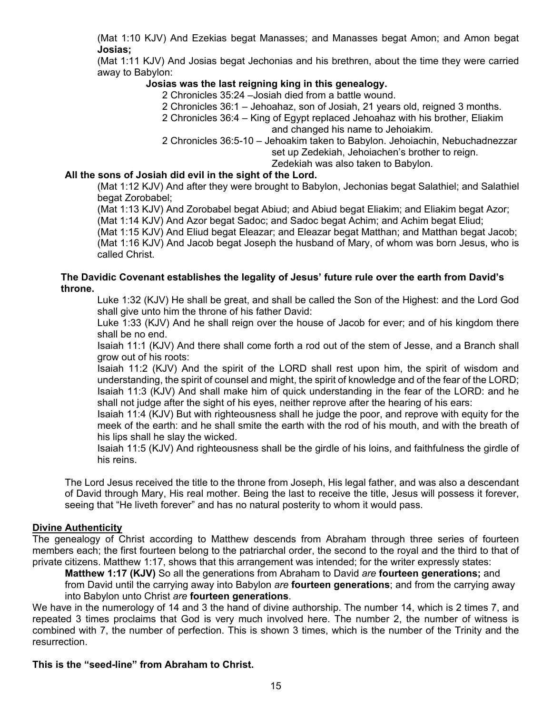(Mat 1:10 KJV) And Ezekias begat Manasses; and Manasses begat Amon; and Amon begat **Josias;**

(Mat 1:11 KJV) And Josias begat Jechonias and his brethren, about the time they were carried away to Babylon:

### **Josias was the last reigning king in this genealogy.**

2 Chronicles 35:24 –Josiah died from a battle wound.

2 Chronicles 36:1 – Jehoahaz, son of Josiah, 21 years old, reigned 3 months.

2 Chronicles 36:4 – King of Egypt replaced Jehoahaz with his brother, Eliakim and changed his name to Jehoiakim.

2 Chronicles 36:5-10 – Jehoakim taken to Babylon. Jehoiachin, Nebuchadnezzar set up Zedekiah, Jehoiachen's brother to reign.

Zedekiah was also taken to Babylon.

### **All the sons of Josiah did evil in the sight of the Lord.**

(Mat 1:12 KJV) And after they were brought to Babylon, Jechonias begat Salathiel; and Salathiel begat Zorobabel;

(Mat 1:13 KJV) And Zorobabel begat Abiud; and Abiud begat Eliakim; and Eliakim begat Azor; (Mat 1:14 KJV) And Azor begat Sadoc; and Sadoc begat Achim; and Achim begat Eliud;

(Mat 1:15 KJV) And Eliud begat Eleazar; and Eleazar begat Matthan; and Matthan begat Jacob;

(Mat 1:16 KJV) And Jacob begat Joseph the husband of Mary, of whom was born Jesus, who is called Christ.

#### **The Davidic Covenant establishes the legality of Jesus' future rule over the earth from David's throne.**

Luke 1:32 (KJV) He shall be great, and shall be called the Son of the Highest: and the Lord God shall give unto him the throne of his father David:

Luke 1:33 (KJV) And he shall reign over the house of Jacob for ever; and of his kingdom there shall be no end.

Isaiah 11:1 (KJV) And there shall come forth a rod out of the stem of Jesse, and a Branch shall grow out of his roots:

Isaiah 11:2 (KJV) And the spirit of the LORD shall rest upon him, the spirit of wisdom and understanding, the spirit of counsel and might, the spirit of knowledge and of the fear of the LORD; Isaiah 11:3 (KJV) And shall make him of quick understanding in the fear of the LORD: and he shall not judge after the sight of his eyes, neither reprove after the hearing of his ears:

Isaiah 11:4 (KJV) But with righteousness shall he judge the poor, and reprove with equity for the meek of the earth: and he shall smite the earth with the rod of his mouth, and with the breath of his lips shall he slay the wicked.

Isaiah 11:5 (KJV) And righteousness shall be the girdle of his loins, and faithfulness the girdle of his reins.

The Lord Jesus received the title to the throne from Joseph, His legal father, and was also a descendant of David through Mary, His real mother. Being the last to receive the title, Jesus will possess it forever, seeing that "He liveth forever" and has no natural posterity to whom it would pass.

#### **Divine Authenticity**

The genealogy of Christ according to Matthew descends from Abraham through three series of fourteen members each; the first fourteen belong to the patriarchal order, the second to the royal and the third to that of private citizens. Matthew 1:17, shows that this arrangement was intended; for the writer expressly states:

**Matthew 1:17 (KJV)** So all the generations from Abraham to David *are* **fourteen generations;** and from David until the carrying away into Babylon *are* **fourteen generations**; and from the carrying away into Babylon unto Christ *are* **fourteen generations**.

We have in the numerology of 14 and 3 the hand of divine authorship. The number 14, which is 2 times 7, and repeated 3 times proclaims that God is very much involved here. The number 2, the number of witness is combined with 7, the number of perfection. This is shown 3 times, which is the number of the Trinity and the resurrection.

### **This is the "seed-line" from Abraham to Christ.**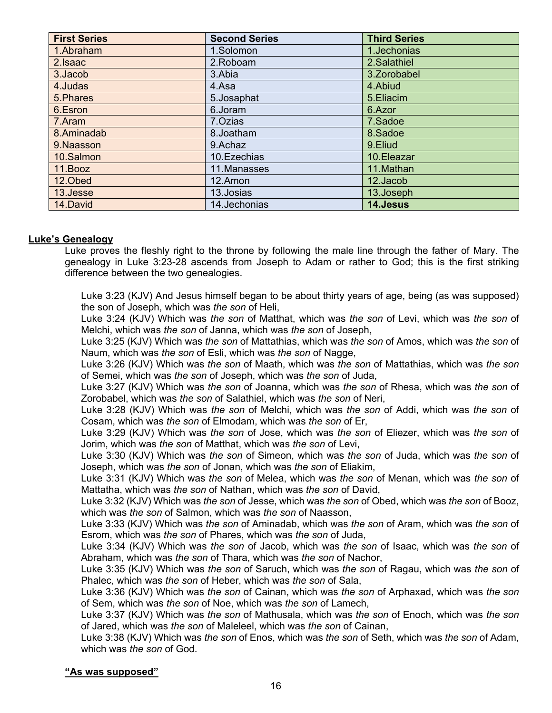| <b>First Series</b> | <b>Second Series</b> | <b>Third Series</b> |
|---------------------|----------------------|---------------------|
| 1.Abraham           | 1.Solomon            | 1.Jechonias         |
| 2. Isaac            | 2.Roboam             | 2.Salathiel         |
| 3. Jacob            | 3.Abia               | 3. Zorobabel        |
| 4.Judas             | 4.Asa                | 4.Abiud             |
| 5. Phares           | 5.Josaphat           | 5.Eliacim           |
| 6.Esron             | 6.Joram              | 6.Azor              |
| 7.Aram              | 7.Ozias              | 7.Sadoe             |
| 8.Aminadab          | 8.Joatham            | 8.Sadoe             |
| 9.Naasson           | 9.Achaz              | 9.Eliud             |
| 10.Salmon           | 10. Ezechias         | 10.Eleazar          |
| 11.Booz             | 11.Manasses          | 11.Mathan           |
| 12.Obed             | 12.Amon              | 12.Jacob            |
| 13.Jesse            | 13.Josias            | 13.Joseph           |
| 14.David            | 14.Jechonias         | 14.Jesus            |

### **Luke's Genealogy**

Luke proves the fleshly right to the throne by following the male line through the father of Mary. The genealogy in Luke 3:23-28 ascends from Joseph to Adam or rather to God; this is the first striking difference between the two genealogies.

Luke 3:23 (KJV) And Jesus himself began to be about thirty years of age, being (as was supposed) the son of Joseph, which was *the son* of Heli,

Luke 3:24 (KJV) Which was *the son* of Matthat, which was *the son* of Levi, which was *the son* of Melchi, which was *the son* of Janna, which was *the son* of Joseph,

Luke 3:25 (KJV) Which was *the son* of Mattathias, which was *the son* of Amos, which was *the son* of Naum, which was *the son* of Esli, which was *the son* of Nagge,

Luke 3:26 (KJV) Which was *the son* of Maath, which was *the son* of Mattathias, which was *the son* of Semei, which was *the son* of Joseph, which was *the son* of Juda,

Luke 3:27 (KJV) Which was *the son* of Joanna, which was *the son* of Rhesa, which was *the son* of Zorobabel, which was *the son* of Salathiel, which was *the son* of Neri,

Luke 3:28 (KJV) Which was *the son* of Melchi, which was *the son* of Addi, which was *the son* of Cosam, which was *the son* of Elmodam, which was *the son* of Er,

Luke 3:29 (KJV) Which was *the son* of Jose, which was *the son* of Eliezer, which was *the son* of Jorim, which was *the son* of Matthat, which was *the son* of Levi,

Luke 3:30 (KJV) Which was *the son* of Simeon, which was *the son* of Juda, which was *the son* of Joseph, which was *the son* of Jonan, which was *the son* of Eliakim,

Luke 3:31 (KJV) Which was *the son* of Melea, which was *the son* of Menan, which was *the son* of Mattatha, which was *the son* of Nathan, which was *the son* of David,

Luke 3:32 (KJV) Which was *the son* of Jesse, which was *the son* of Obed, which was *the son* of Booz, which was *the son* of Salmon, which was *the son* of Naasson,

Luke 3:33 (KJV) Which was *the son* of Aminadab, which was *the son* of Aram, which was *the son* of Esrom, which was *the son* of Phares, which was *the son* of Juda,

Luke 3:34 (KJV) Which was *the son* of Jacob, which was *the son* of Isaac, which was *the son* of Abraham, which was *the son* of Thara, which was *the son* of Nachor,

Luke 3:35 (KJV) Which was *the son* of Saruch, which was *the son* of Ragau, which was *the son* of Phalec, which was *the son* of Heber, which was *the son* of Sala,

Luke 3:36 (KJV) Which was *the son* of Cainan, which was *the son* of Arphaxad, which was *the son* of Sem, which was *the son* of Noe, which was *the son* of Lamech,

Luke 3:37 (KJV) Which was *the son* of Mathusala, which was *the son* of Enoch, which was *the son* of Jared, which was *the son* of Maleleel, which was *the son* of Cainan,

Luke 3:38 (KJV) Which was *the son* of Enos, which was *the son* of Seth, which was *the son* of Adam, which was *the son* of God.

#### **"As was supposed"**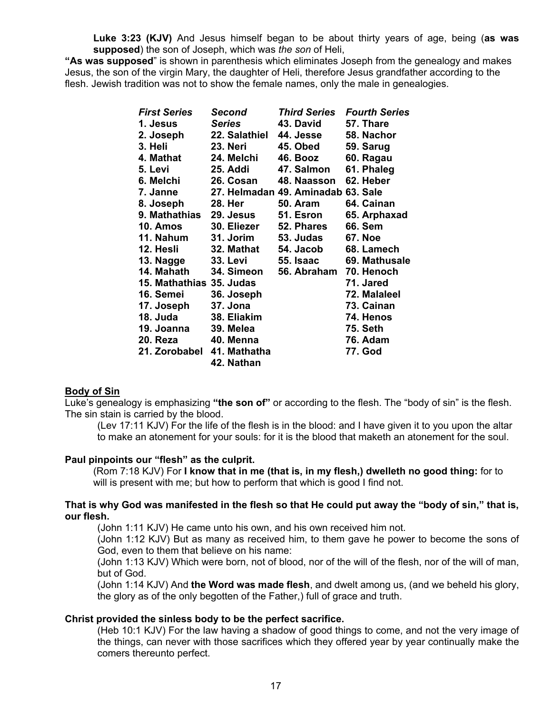**Luke 3:23 (KJV)** And Jesus himself began to be about thirty years of age, being (**as was supposed**) the son of Joseph, which was *the son* of Heli,

**"As was supposed**" is shown in parenthesis which eliminates Joseph from the genealogy and makes Jesus, the son of the virgin Mary, the daughter of Heli, therefore Jesus grandfather according to the flesh. Jewish tradition was not to show the female names, only the male in genealogies.

| <b>First Series</b>      | Second          | <b>Third Series</b>                | <b>Fourth Series</b> |
|--------------------------|-----------------|------------------------------------|----------------------|
| 1. Jesus                 | Series          | 43. David                          | 57. Thare            |
| 2. Joseph                | 22. Salathiel   | 44. Jesse                          | 58. Nachor           |
| 3. Heli                  | <b>23. Neri</b> | 45. Obed                           | 59. Sarug            |
| 4. Mathat                | 24. Melchi      | 46. Booz                           | 60. Ragau            |
| 5. Levi                  | 25. Addi        | 47. Salmon                         | 61. Phaleg           |
| 6. Melchi                | 26. Cosan       | 48. Naasson                        | 62. Heber            |
| 7. Janne                 |                 | 27. Helmadan 49. Aminadab 63. Sale |                      |
| 8. Joseph                | 28. Her         | <b>50. Aram</b>                    | 64. Cainan           |
| 9. Mathathias 29. Jesus  |                 | 51. Esron                          | 65. Arphaxad         |
| <b>10. Amos</b>          | 30. Eliezer     | 52. Phares                         | <b>66. Sem</b>       |
| 11. Nahum                | 31. Jorim       | 53. Judas                          | <b>67. Noe</b>       |
| 12. Hesli                | 32. Mathat      | 54. Jacob                          | 68. Lamech           |
| 13. Nagge                | 33. Levi        | 55. Isaac                          | 69. Mathusale        |
| 14. Mahath               | 34. Simeon      | 56. Abraham                        | 70. Henoch           |
| 15. Mathathias 35. Judas |                 |                                    | 71. Jared            |
| 16. Semei                | 36. Joseph      |                                    | 72. Malaleel         |
| 17. Joseph               | 37. Jona        |                                    | 73. Cainan           |
| 18. Juda                 | 38. Eliakim     |                                    | 74. Henos            |
| 19. Joanna               | 39. Melea       |                                    | <b>75. Seth</b>      |
| 20. Reza                 | 40. Menna       |                                    | <b>76. Adam</b>      |
| 21. Zorobabel            | 41. Mathatha    |                                    | 77. God              |
|                          | 42. Nathan      |                                    |                      |

#### **Body of Sin**

Luke's genealogy is emphasizing **"the son of"** or according to the flesh. The "body of sin" is the flesh. The sin stain is carried by the blood.

(Lev 17:11 KJV) For the life of the flesh is in the blood: and I have given it to you upon the altar to make an atonement for your souls: for it is the blood that maketh an atonement for the soul.

#### **Paul pinpoints our "flesh" as the culprit.**

(Rom 7:18 KJV) For **I know that in me (that is, in my flesh,) dwelleth no good thing:** for to will is present with me; but how to perform that which is good I find not.

#### **That is why God was manifested in the flesh so that He could put away the "body of sin," that is, our flesh.**

(John 1:11 KJV) He came unto his own, and his own received him not.

(John 1:12 KJV) But as many as received him, to them gave he power to become the sons of God, even to them that believe on his name:

(John 1:13 KJV) Which were born, not of blood, nor of the will of the flesh, nor of the will of man, but of God.

(John 1:14 KJV) And **the Word was made flesh**, and dwelt among us, (and we beheld his glory, the glory as of the only begotten of the Father,) full of grace and truth.

#### **Christ provided the sinless body to be the perfect sacrifice.**

(Heb 10:1 KJV) For the law having a shadow of good things to come, and not the very image of the things, can never with those sacrifices which they offered year by year continually make the comers thereunto perfect.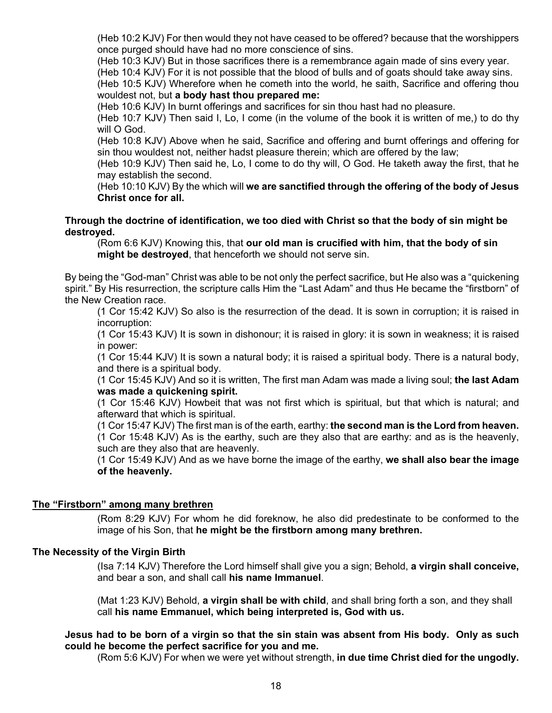(Heb 10:2 KJV) For then would they not have ceased to be offered? because that the worshippers once purged should have had no more conscience of sins.

(Heb 10:3 KJV) But in those sacrifices there is a remembrance again made of sins every year.

(Heb 10:4 KJV) For it is not possible that the blood of bulls and of goats should take away sins. (Heb 10:5 KJV) Wherefore when he cometh into the world, he saith, Sacrifice and offering thou wouldest not, but **a body hast thou prepared me:**

(Heb 10:6 KJV) In burnt offerings and sacrifices for sin thou hast had no pleasure.

(Heb 10:7 KJV) Then said I, Lo, I come (in the volume of the book it is written of me,) to do thy will O God.

(Heb 10:8 KJV) Above when he said, Sacrifice and offering and burnt offerings and offering for sin thou wouldest not, neither hadst pleasure therein; which are offered by the law;

(Heb 10:9 KJV) Then said he, Lo, I come to do thy will, O God. He taketh away the first, that he may establish the second.

(Heb 10:10 KJV) By the which will **we are sanctified through the offering of the body of Jesus Christ once for all.**

**Through the doctrine of identification, we too died with Christ so that the body of sin might be destroyed.**

(Rom 6:6 KJV) Knowing this, that **our old man is crucified with him, that the body of sin might be destroyed**, that henceforth we should not serve sin.

By being the "God-man" Christ was able to be not only the perfect sacrifice, but He also was a "quickening spirit." By His resurrection, the scripture calls Him the "Last Adam" and thus He became the "firstborn" of the New Creation race.

(1 Cor 15:42 KJV) So also is the resurrection of the dead. It is sown in corruption; it is raised in incorruption:

(1 Cor 15:43 KJV) It is sown in dishonour; it is raised in glory: it is sown in weakness; it is raised in power:

(1 Cor 15:44 KJV) It is sown a natural body; it is raised a spiritual body. There is a natural body, and there is a spiritual body.

(1 Cor 15:45 KJV) And so it is written, The first man Adam was made a living soul; **the last Adam was made a quickening spirit.**

(1 Cor 15:46 KJV) Howbeit that was not first which is spiritual, but that which is natural; and afterward that which is spiritual.

(1 Cor 15:47 KJV) The first man is of the earth, earthy: **the second man is the Lord from heaven.** (1 Cor 15:48 KJV) As is the earthy, such are they also that are earthy: and as is the heavenly, such are they also that are heavenly.

(1 Cor 15:49 KJV) And as we have borne the image of the earthy, **we shall also bear the image of the heavenly.**

### **The "Firstborn" among many brethren**

(Rom 8:29 KJV) For whom he did foreknow, he also did predestinate to be conformed to the image of his Son, that **he might be the firstborn among many brethren.**

### **The Necessity of the Virgin Birth**

(Isa 7:14 KJV) Therefore the Lord himself shall give you a sign; Behold, **a virgin shall conceive,** and bear a son, and shall call **his name Immanuel**.

(Mat 1:23 KJV) Behold, **a virgin shall be with child**, and shall bring forth a son, and they shall call **his name Emmanuel, which being interpreted is, God with us.**

### **Jesus had to be born of a virgin so that the sin stain was absent from His body. Only as such could he become the perfect sacrifice for you and me.**

(Rom 5:6 KJV) For when we were yet without strength, **in due time Christ died for the ungodly.**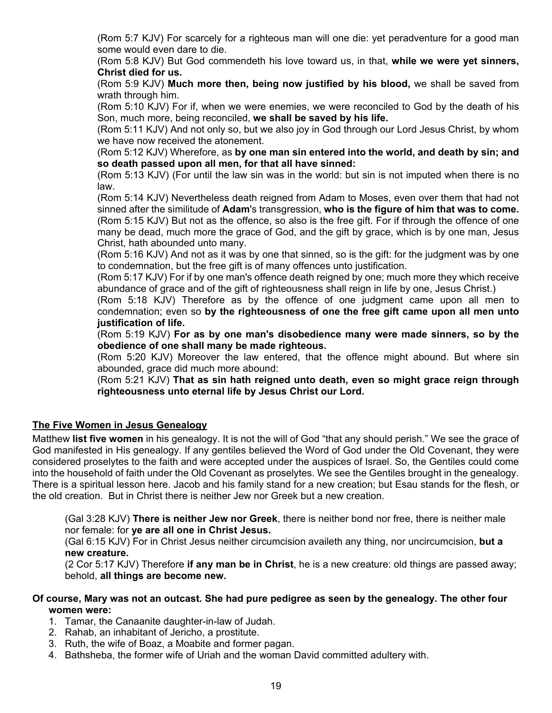(Rom 5:7 KJV) For scarcely for a righteous man will one die: yet peradventure for a good man some would even dare to die.

(Rom 5:8 KJV) But God commendeth his love toward us, in that, **while we were yet sinners, Christ died for us.**

(Rom 5:9 KJV) **Much more then, being now justified by his blood,** we shall be saved from wrath through him.

(Rom 5:10 KJV) For if, when we were enemies, we were reconciled to God by the death of his Son, much more, being reconciled, **we shall be saved by his life.**

(Rom 5:11 KJV) And not only so, but we also joy in God through our Lord Jesus Christ, by whom we have now received the atonement.

(Rom 5:12 KJV) Wherefore, as **by one man sin entered into the world, and death by sin; and so death passed upon all men, for that all have sinned:**

(Rom 5:13 KJV) (For until the law sin was in the world: but sin is not imputed when there is no law.

(Rom 5:14 KJV) Nevertheless death reigned from Adam to Moses, even over them that had not sinned after the similitude of **Adam**'s transgression, **who is the figure of him that was to come.** (Rom 5:15 KJV) But not as the offence, so also is the free gift. For if through the offence of one many be dead, much more the grace of God, and the gift by grace, which is by one man, Jesus Christ, hath abounded unto many.

(Rom 5:16 KJV) And not as it was by one that sinned, so is the gift: for the judgment was by one to condemnation, but the free gift is of many offences unto justification.

(Rom 5:17 KJV) For if by one man's offence death reigned by one; much more they which receive abundance of grace and of the gift of righteousness shall reign in life by one, Jesus Christ.)

(Rom 5:18 KJV) Therefore as by the offence of one judgment came upon all men to condemnation; even so **by the righteousness of one the free gift came upon all men unto justification of life.**

(Rom 5:19 KJV) **For as by one man's disobedience many were made sinners, so by the obedience of one shall many be made righteous.**

(Rom 5:20 KJV) Moreover the law entered, that the offence might abound. But where sin abounded, grace did much more abound:

(Rom 5:21 KJV) **That as sin hath reigned unto death, even so might grace reign through righteousness unto eternal life by Jesus Christ our Lord.**

### **The Five Women in Jesus Genealogy**

Matthew **list five women** in his genealogy. It is not the will of God "that any should perish." We see the grace of God manifested in His genealogy. If any gentiles believed the Word of God under the Old Covenant, they were considered proselytes to the faith and were accepted under the auspices of Israel. So, the Gentiles could come into the household of faith under the Old Covenant as proselytes. We see the Gentiles brought in the genealogy. There is a spiritual lesson here. Jacob and his family stand for a new creation; but Esau stands for the flesh, or the old creation. But in Christ there is neither Jew nor Greek but a new creation.

(Gal 3:28 KJV) **There is neither Jew nor Greek**, there is neither bond nor free, there is neither male nor female: for **ye are all one in Christ Jesus.**

(Gal 6:15 KJV) For in Christ Jesus neither circumcision availeth any thing, nor uncircumcision, **but a new creature.**

(2 Cor 5:17 KJV) Therefore **if any man be in Christ**, he is a new creature: old things are passed away; behold, **all things are become new.** 

### **Of course, Mary was not an outcast. She had pure pedigree as seen by the genealogy. The other four women were:**

- 1. Tamar, the Canaanite daughter-in-law of Judah.
- 2. Rahab, an inhabitant of Jericho, a prostitute.
- 3. Ruth, the wife of Boaz, a Moabite and former pagan.
- 4. Bathsheba, the former wife of Uriah and the woman David committed adultery with.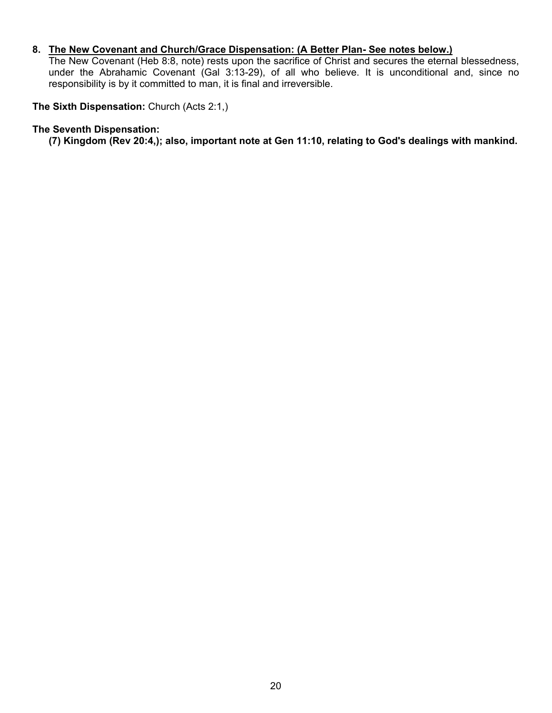### **8. The New Covenant and Church/Grace Dispensation: (A Better Plan- See notes below.)**

The New Covenant (Heb 8:8, note) rests upon the sacrifice of Christ and secures the eternal blessedness, under the Abrahamic Covenant (Gal 3:13-29), of all who believe. It is unconditional and, since no responsibility is by it committed to man, it is final and irreversible.

**The Sixth Dispensation:** Church (Acts 2:1,)

#### **The Seventh Dispensation:**

**(7) Kingdom (Rev 20:4,); also, important note at Gen 11:10, relating to God's dealings with mankind.**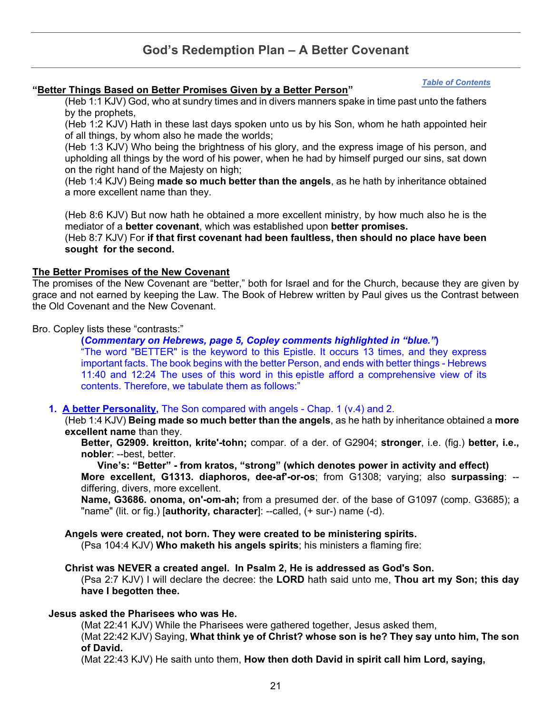# **God's Redemption Plan – A Better Covenant**

#### *[Table of Contents](#page-0-0)*

### <span id="page-20-0"></span>**"Better Things Based on Better Promises Given by a Better Person"**

(Heb 1:1 KJV) God, who at sundry times and in divers manners spake in time past unto the fathers by the prophets,

(Heb 1:2 KJV) Hath in these last days spoken unto us by his Son, whom he hath appointed heir of all things, by whom also he made the worlds;

(Heb 1:3 KJV) Who being the brightness of his glory, and the express image of his person, and upholding all things by the word of his power, when he had by himself purged our sins, sat down on the right hand of the Majesty on high;

(Heb 1:4 KJV) Being **made so much better than the angels**, as he hath by inheritance obtained a more excellent name than they.

(Heb 8:6 KJV) But now hath he obtained a more excellent ministry, by how much also he is the mediator of a **better covenant**, which was established upon **better promises.**

(Heb 8:7 KJV) For **if that first covenant had been faultless, then should no place have been sought for the second.**

#### **The Better Promises of the New Covenant**

The promises of the New Covenant are "better," both for Israel and for the Church, because they are given by grace and not earned by keeping the Law. The Book of Hebrew written by Paul gives us the Contrast between the Old Covenant and the New Covenant.

Bro. Copley lists these "contrasts:"

#### **(***Commentary on Hebrews, page 5, Copley comments highlighted in "blue."***)**

"The word "BETTER" is the keyword to this Epistle. It occurs 13 times, and they express important facts. The book begins with the better Person, and ends with better things - Hebrews 11:40 and 12:24 The uses of this word in this epistle afford a comprehensive view of its contents. Therefore, we tabulate them as follows:"

#### **1. A better Personality,** The Son compared with angels - Chap. 1 (v.4) and 2.

(Heb 1:4 KJV) **Being made so much better than the angels**, as he hath by inheritance obtained a **more excellent name** than they.

**Better, G2909. kreitton, krite'-tohn;** compar. of a der. of G2904; **stronger**, i.e. (fig.) **better, i.e., nobler**: --best, better.

**Vine's: "Better" - from kratos, "strong" (which denotes power in activity and effect) More excellent, G1313. diaphoros, dee-af'-or-os**; from G1308; varying; also **surpassing**: - differing, divers, more excellent.

**Name, G3686. onoma, on'-om-ah;** from a presumed der. of the base of G1097 (comp. G3685); a "name" (lit. or fig.) [**authority, character**]: --called, (+ sur-) name (-d).

#### **Angels were created, not born. They were created to be ministering spirits.**

(Psa 104:4 KJV) **Who maketh his angels spirits**; his ministers a flaming fire:

#### **Christ was NEVER a created angel. In Psalm 2, He is addressed as God's Son.**

(Psa 2:7 KJV) I will declare the decree: the **LORD** hath said unto me, **Thou art my Son; this day have I begotten thee.**

#### **Jesus asked the Pharisees who was He.**

(Mat 22:41 KJV) While the Pharisees were gathered together, Jesus asked them,

(Mat 22:42 KJV) Saying, **What think ye of Christ? whose son is he? They say unto him, The son of David.**

(Mat 22:43 KJV) He saith unto them, **How then doth David in spirit call him Lord, saying,**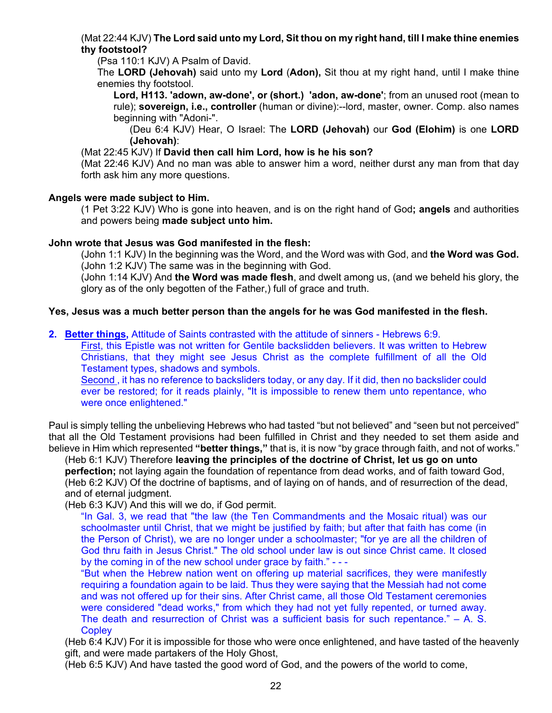### (Mat 22:44 KJV) **The Lord said unto my Lord, Sit thou on my right hand, till I make thine enemies thy footstool?**

(Psa 110:1 KJV) A Psalm of David.

The **LORD (Jehovah)** said unto my **Lord** (**Adon),** Sit thou at my right hand, until I make thine enemies thy footstool.

**Lord, H113. 'adown, aw-done', or (short.) 'adon, aw-done'**; from an unused root (mean to rule); **sovereign, i.e., controller** (human or divine):--lord, master, owner. Comp. also names beginning with "Adoni-".

(Deu 6:4 KJV) Hear, O Israel: The **LORD (Jehovah)** our **God (Elohim)** is one **LORD (Jehovah)**:

(Mat 22:45 KJV) If **David then call him Lord, how is he his son?**

(Mat 22:46 KJV) And no man was able to answer him a word, neither durst any man from that day forth ask him any more questions.

### **Angels were made subject to Him.**

(1 Pet 3:22 KJV) Who is gone into heaven, and is on the right hand of God**; angels** and authorities and powers being **made subject unto him.**

### **John wrote that Jesus was God manifested in the flesh:**

(John 1:1 KJV) In the beginning was the Word, and the Word was with God, and **the Word was God.** (John 1:2 KJV) The same was in the beginning with God.

(John 1:14 KJV) And **the Word was made flesh**, and dwelt among us, (and we beheld his glory, the glory as of the only begotten of the Father,) full of grace and truth.

### **Yes, Jesus was a much better person than the angels for he was God manifested in the flesh.**

**2. Better things,** Attitude of Saints contrasted with the attitude of sinners - Hebrews 6:9.

First, this Epistle was not written for Gentile backslidden believers. It was written to Hebrew Christians, that they might see Jesus Christ as the complete fulfillment of all the Old Testament types, shadows and symbols.

Second , it has no reference to backsliders today, or any day. If it did, then no backslider could ever be restored; for it reads plainly, "It is impossible to renew them unto repentance, who were once enlightened."

Paul is simply telling the unbelieving Hebrews who had tasted "but not believed" and "seen but not perceived" that all the Old Testament provisions had been fulfilled in Christ and they needed to set them aside and believe in Him which represented **"better things,"** that is, it is now "by grace through faith, and not of works."

(Heb 6:1 KJV) Therefore **leaving the principles of the doctrine of Christ, let us go on unto perfection;** not laying again the foundation of repentance from dead works, and of faith toward God, (Heb 6:2 KJV) Of the doctrine of baptisms, and of laying on of hands, and of resurrection of the dead, and of eternal judgment.

(Heb 6:3 KJV) And this will we do, if God permit.

"In Gal. 3, we read that "the law (the Ten Commandments and the Mosaic ritual) was our schoolmaster until Christ, that we might be justified by faith; but after that faith has come (in the Person of Christ), we are no longer under a schoolmaster; "for ye are all the children of God thru faith in Jesus Christ." The old school under law is out since Christ came. It closed by the coming in of the new school under grace by faith." - - -

"But when the Hebrew nation went on offering up material sacrifices, they were manifestly requiring a foundation again to be laid. Thus they were saying that the Messiah had not come and was not offered up for their sins. After Christ came, all those Old Testament ceremonies were considered "dead works," from which they had not yet fully repented, or turned away. The death and resurrection of Christ was a sufficient basis for such repentance."  $-$  A. S. **Copley** 

(Heb 6:4 KJV) For it is impossible for those who were once enlightened, and have tasted of the heavenly gift, and were made partakers of the Holy Ghost,

(Heb 6:5 KJV) And have tasted the good word of God, and the powers of the world to come,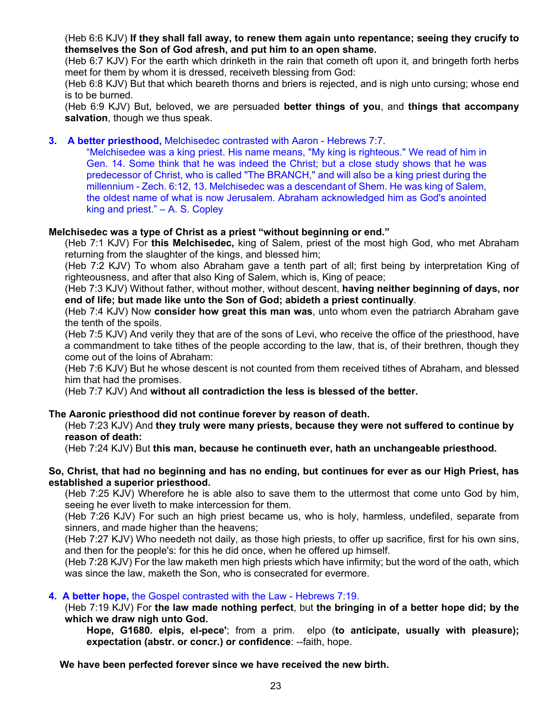(Heb 6:6 KJV) **If they shall fall away, to renew them again unto repentance; seeing they crucify to themselves the Son of God afresh, and put him to an open shame.**

(Heb 6:7 KJV) For the earth which drinketh in the rain that cometh oft upon it, and bringeth forth herbs meet for them by whom it is dressed, receiveth blessing from God:

(Heb 6:8 KJV) But that which beareth thorns and briers is rejected, and is nigh unto cursing; whose end is to be burned.

(Heb 6:9 KJV) But, beloved, we are persuaded **better things of you**, and **things that accompany salvation**, though we thus speak.

**3. A better priesthood,** Melchisedec contrasted with Aaron - Hebrews 7:7.

"Melchisedee was a king priest. His name means, "My king is righteous." We read of him in Gen. 14. Some think that he was indeed the Christ; but a close study shows that he was predecessor of Christ, who is called "The BRANCH," and will also be a king priest during the millennium - Zech. 6:12, 13. Melchisedec was a descendant of Shem. He was king of Salem, the oldest name of what is now Jerusalem. Abraham acknowledged him as God's anointed king and priest." – A. S. Copley

### **Melchisedec was a type of Christ as a priest "without beginning or end."**

(Heb 7:1 KJV) For **this Melchisedec,** king of Salem, priest of the most high God, who met Abraham returning from the slaughter of the kings, and blessed him;

(Heb 7:2 KJV) To whom also Abraham gave a tenth part of all; first being by interpretation King of righteousness, and after that also King of Salem, which is, King of peace;

(Heb 7:3 KJV) Without father, without mother, without descent, **having neither beginning of days, nor end of life; but made like unto the Son of God; abideth a priest continually**.

(Heb 7:4 KJV) Now **consider how great this man was**, unto whom even the patriarch Abraham gave the tenth of the spoils.

(Heb 7:5 KJV) And verily they that are of the sons of Levi, who receive the office of the priesthood, have a commandment to take tithes of the people according to the law, that is, of their brethren, though they come out of the loins of Abraham:

(Heb 7:6 KJV) But he whose descent is not counted from them received tithes of Abraham, and blessed him that had the promises.

(Heb 7:7 KJV) And **without all contradiction the less is blessed of the better.**

### **The Aaronic priesthood did not continue forever by reason of death.**

(Heb 7:23 KJV) And **they truly were many priests, because they were not suffered to continue by reason of death:**

(Heb 7:24 KJV) But **this man, because he continueth ever, hath an unchangeable priesthood.**

#### **So, Christ, that had no beginning and has no ending, but continues for ever as our High Priest, has established a superior priesthood.**

(Heb 7:25 KJV) Wherefore he is able also to save them to the uttermost that come unto God by him, seeing he ever liveth to make intercession for them.

(Heb 7:26 KJV) For such an high priest became us, who is holy, harmless, undefiled, separate from sinners, and made higher than the heavens;

(Heb 7:27 KJV) Who needeth not daily, as those high priests, to offer up sacrifice, first for his own sins, and then for the people's: for this he did once, when he offered up himself.

(Heb 7:28 KJV) For the law maketh men high priests which have infirmity; but the word of the oath, which was since the law, maketh the Son, who is consecrated for evermore.

#### **4. A better hope,** the Gospel contrasted with the Law - Hebrews 7:19.

(Heb 7:19 KJV) For **the law made nothing perfect**, but **the bringing in of a better hope did; by the which we draw nigh unto God.**

**Hope, G1680. elpis, el-pece'**; from a prim. elpo (**to anticipate, usually with pleasure); expectation (abstr. or concr.) or confidence**: --faith, hope.

 **We have been perfected forever since we have received the new birth.**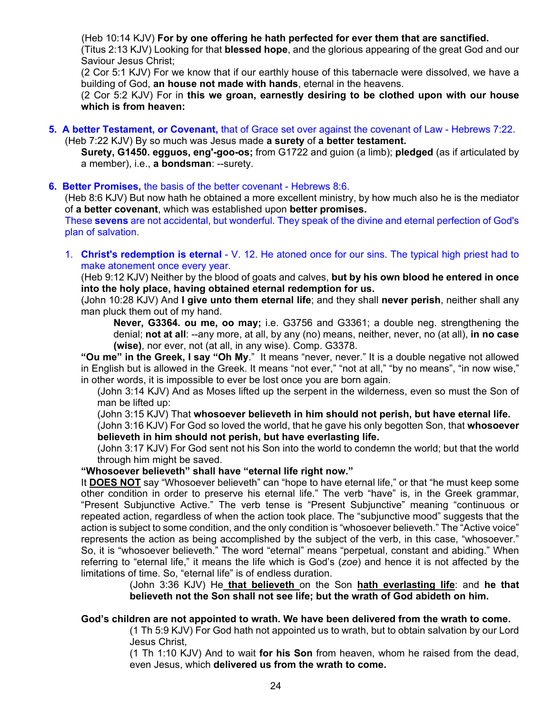(Heb 10:14 KJV) **For by one offering he hath perfected for ever them that are sanctified.**

(Titus 2:13 KJV) Looking for that **blessed hope**, and the glorious appearing of the great God and our Saviour Jesus Christ;

(2 Cor 5:1 KJV) For we know that if our earthly house of this tabernacle were dissolved, we have a building of God, **an house not made with hands**, eternal in the heavens.

(2 Cor 5:2 KJV) For in **this we groan, earnestly desiring to be clothed upon with our house which is from heaven:**

**5. A better Testament, or Covenant,** that of Grace set over against the covenant of Law - Hebrews 7:22. (Heb 7:22 KJV) By so much was Jesus made **a surety** of **a better testament.**

**Surety, G1450. egguos, eng'-goo-os;** from G1722 and guion (a limb); **pledged** (as if articulated by a member), i.e., **a bondsman**: --surety.

#### **6. Better Promises,** the basis of the better covenant - Hebrews 8:6.

(Heb 8:6 KJV) But now hath he obtained a more excellent ministry, by how much also he is the mediator of **a better covenant**, which was established upon **better promises.**

These **sevens** are not accidental, but wonderful. They speak of the divine and eternal perfection of God's plan of salvation.

1. **Christ's redemption is eternal** - V. 12. He atoned once for our sins. The typical high priest had to make atonement once every year.

(Heb 9:12 KJV) Neither by the blood of goats and calves, **but by his own blood he entered in once into the holy place, having obtained eternal redemption for us.**

(John 10:28 KJV) And **I give unto them eternal life**; and they shall **never perish**, neither shall any man pluck them out of my hand.

**Never, G3364. ou me, oo may;** i.e. G3756 and G3361; a double neg. strengthening the denial; **not at all**: --any more, at all, by any (no) means, neither, never, no (at all), **in no case (wise)**, nor ever, not (at all, in any wise). Comp. G3378.

**"Ou me" in the Greek, I say "Oh My**." It means "never, never." It is a double negative not allowed in English but is allowed in the Greek. It means "not ever," "not at all," "by no means", "in now wise," in other words, it is impossible to ever be lost once you are born again.

(John 3:14 KJV) And as Moses lifted up the serpent in the wilderness, even so must the Son of man be lifted up:

(John 3:15 KJV) That **whosoever believeth in him should not perish, but have eternal life.**

(John 3:16 KJV) For God so loved the world, that he gave his only begotten Son, that **whosoever believeth in him should not perish, but have everlasting life.**

(John 3:17 KJV) For God sent not his Son into the world to condemn the world; but that the world through him might be saved.

**"Whosoever believeth" shall have "eternal life right now."**

It **DOES NOT** say "Whosoever believeth" can "hope to have eternal life," or that "he must keep some other condition in order to preserve his eternal life." The verb "have" is, in the Greek grammar, "Present Subjunctive Active." The verb tense is "Present Subjunctive" meaning "continuous or repeated action, regardless of when the action took place. The "subjunctive mood" suggests that the action is subject to some condition, and the only condition is "whosoever believeth." The "Active voice" represents the action as being accomplished by the subject of the verb, in this case, "whosoever." So, it is "whosoever believeth." The word "eternal" means "perpetual, constant and abiding." When referring to "eternal life," it means the life which is God's (*zoe*) and hence it is not affected by the limitations of time. So, "eternal life" is of endless duration.

> (John 3:36 KJV) He **that believeth** on the Son **hath everlasting life**: and **he that believeth not the Son shall not see life; but the wrath of God abideth on him.**

### **God's children are not appointed to wrath. We have been delivered from the wrath to come.**

(1 Th 5:9 KJV) For God hath not appointed us to wrath, but to obtain salvation by our Lord Jesus Christ,

(1 Th 1:10 KJV) And to wait **for his Son** from heaven, whom he raised from the dead, even Jesus, which **delivered us from the wrath to come.**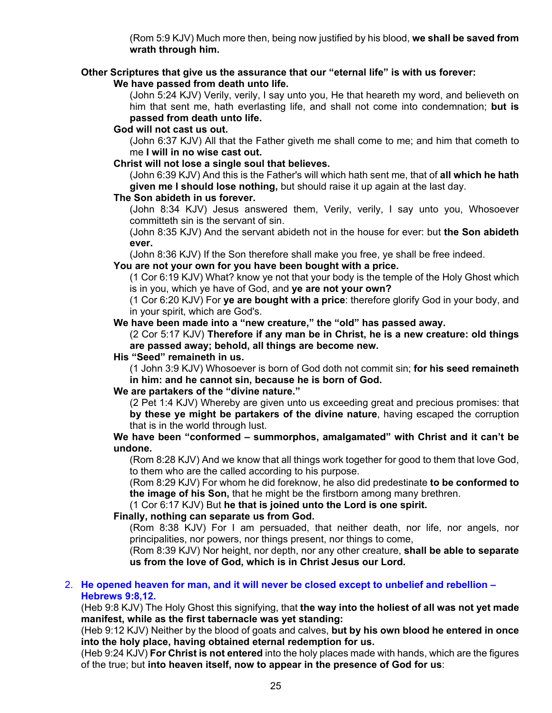(Rom 5:9 KJV) Much more then, being now justified by his blood, **we shall be saved from wrath through him.**

### **Other Scriptures that give us the assurance that our "eternal life" is with us forever:**

**We have passed from death unto life.**

(John 5:24 KJV) Verily, verily, I say unto you, He that heareth my word, and believeth on him that sent me, hath everlasting life, and shall not come into condemnation; **but is passed from death unto life.**

### **God will not cast us out.**

(John 6:37 KJV) All that the Father giveth me shall come to me; and him that cometh to me **I will in no wise cast out.**

### **Christ will not lose a single soul that believes.**

(John 6:39 KJV) And this is the Father's will which hath sent me, that of **all which he hath given me I should lose nothing,** but should raise it up again at the last day.

### **The Son abideth in us forever.**

(John 8:34 KJV) Jesus answered them, Verily, verily, I say unto you, Whosoever committeth sin is the servant of sin.

(John 8:35 KJV) And the servant abideth not in the house for ever: but **the Son abideth ever.**

(John 8:36 KJV) If the Son therefore shall make you free, ye shall be free indeed.

### **You are not your own for you have been bought with a price.**

(1 Cor 6:19 KJV) What? know ye not that your body is the temple of the Holy Ghost which is in you, which ye have of God, and **ye are not your own?**

(1 Cor 6:20 KJV) For **ye are bought with a price**: therefore glorify God in your body, and in your spirit, which are God's.

### **We have been made into a "new creature," the "old" has passed away.**

(2 Cor 5:17 KJV) **Therefore if any man be in Christ, he is a new creature: old things are passed away; behold, all things are become new.**

### **His "Seed" remaineth in us.**

(1 John 3:9 KJV) Whosoever is born of God doth not commit sin; **for his seed remaineth in him: and he cannot sin, because he is born of God.**

### **We are partakers of the "divine nature."**

(2 Pet 1:4 KJV) Whereby are given unto us exceeding great and precious promises: that **by these ye might be partakers of the divine nature**, having escaped the corruption that is in the world through lust.

### **We have been "conformed – summorphos, amalgamated" with Christ and it can't be undone.**

(Rom 8:28 KJV) And we know that all things work together for good to them that love God, to them who are the called according to his purpose.

(Rom 8:29 KJV) For whom he did foreknow, he also did predestinate **to be conformed to the image of his Son,** that he might be the firstborn among many brethren.

### (1 Cor 6:17 KJV) But **he that is joined unto the Lord is one spirit.**

### **Finally, nothing can separate us from God.**

(Rom 8:38 KJV) For I am persuaded, that neither death, nor life, nor angels, nor principalities, nor powers, nor things present, nor things to come,

(Rom 8:39 KJV) Nor height, nor depth, nor any other creature, **shall be able to separate us from the love of God, which is in Christ Jesus our Lord.**

#### 2. **He opened heaven for man, and it will never be closed except to unbelief and rebellion – Hebrews 9:8,12.**

(Heb 9:8 KJV) The Holy Ghost this signifying, that **the way into the holiest of all was not yet made manifest, while as the first tabernacle was yet standing:**

(Heb 9:12 KJV) Neither by the blood of goats and calves, **but by his own blood he entered in once into the holy place, having obtained eternal redemption for us.**

(Heb 9:24 KJV) **For Christ is not entered** into the holy places made with hands, which are the figures of the true; but **into heaven itself, now to appear in the presence of God for us**: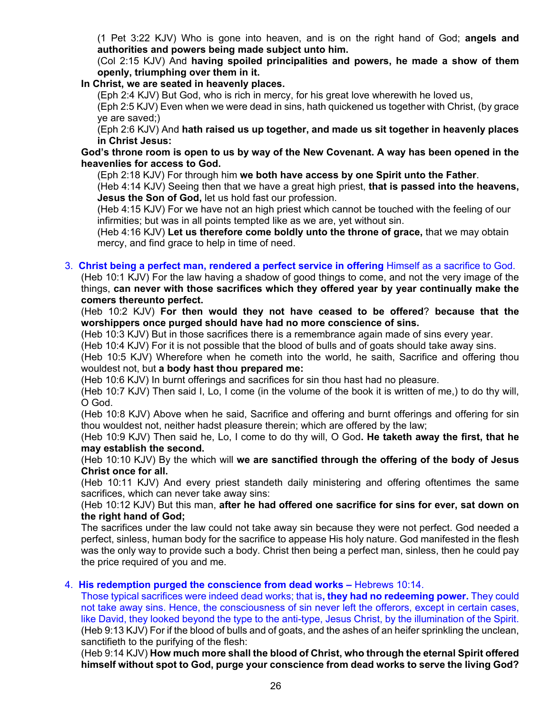(1 Pet 3:22 KJV) Who is gone into heaven, and is on the right hand of God; **angels and authorities and powers being made subject unto him.**

(Col 2:15 KJV) And **having spoiled principalities and powers, he made a show of them openly, triumphing over them in it.**

### **In Christ, we are seated in heavenly places.**

(Eph 2:4 KJV) But God, who is rich in mercy, for his great love wherewith he loved us,

(Eph 2:5 KJV) Even when we were dead in sins, hath quickened us together with Christ, (by grace ye are saved;)

(Eph 2:6 KJV) And **hath raised us up together, and made us sit together in heavenly places in Christ Jesus:**

**God's throne room is open to us by way of the New Covenant. A way has been opened in the heavenlies for access to God.**

(Eph 2:18 KJV) For through him **we both have access by one Spirit unto the Father**.

(Heb 4:14 KJV) Seeing then that we have a great high priest, **that is passed into the heavens, Jesus the Son of God,** let us hold fast our profession.

(Heb 4:15 KJV) For we have not an high priest which cannot be touched with the feeling of our infirmities; but was in all points tempted like as we are, yet without sin.

(Heb 4:16 KJV) **Let us therefore come boldly unto the throne of grace,** that we may obtain mercy, and find grace to help in time of need.

### 3. **Christ being a perfect man, rendered a perfect service in offering** Himself as a sacrifice to God.

(Heb 10:1 KJV) For the law having a shadow of good things to come, and not the very image of the things, **can never with those sacrifices which they offered year by year continually make the comers thereunto perfect.**

(Heb 10:2 KJV) **For then would they not have ceased to be offered**? **because that the worshippers once purged should have had no more conscience of sins.**

(Heb 10:3 KJV) But in those sacrifices there is a remembrance again made of sins every year.

(Heb 10:4 KJV) For it is not possible that the blood of bulls and of goats should take away sins.

(Heb 10:5 KJV) Wherefore when he cometh into the world, he saith, Sacrifice and offering thou wouldest not, but **a body hast thou prepared me:**

(Heb 10:6 KJV) In burnt offerings and sacrifices for sin thou hast had no pleasure.

(Heb 10:7 KJV) Then said I, Lo, I come (in the volume of the book it is written of me,) to do thy will, O God.

(Heb 10:8 KJV) Above when he said, Sacrifice and offering and burnt offerings and offering for sin thou wouldest not, neither hadst pleasure therein; which are offered by the law;

(Heb 10:9 KJV) Then said he, Lo, I come to do thy will, O God**. He taketh away the first, that he may establish the second.**

(Heb 10:10 KJV) By the which will **we are sanctified through the offering of the body of Jesus Christ once for all.**

(Heb 10:11 KJV) And every priest standeth daily ministering and offering oftentimes the same sacrifices, which can never take away sins:

(Heb 10:12 KJV) But this man, **after he had offered one sacrifice for sins for ever, sat down on the right hand of God;**

The sacrifices under the law could not take away sin because they were not perfect. God needed a perfect, sinless, human body for the sacrifice to appease His holy nature. God manifested in the flesh was the only way to provide such a body. Christ then being a perfect man, sinless, then he could pay the price required of you and me.

### 4. **His redemption purged the conscience from dead works –** Hebrews 10:14.

Those typical sacrifices were indeed dead works; that is**, they had no redeeming power.** They could not take away sins. Hence, the consciousness of sin never left the offerors, except in certain cases, like David, they looked beyond the type to the anti-type, Jesus Christ, by the illumination of the Spirit. (Heb 9:13 KJV) For if the blood of bulls and of goats, and the ashes of an heifer sprinkling the unclean, sanctifieth to the purifying of the flesh:

(Heb 9:14 KJV) **How much more shall the blood of Christ, who through the eternal Spirit offered himself without spot to God, purge your conscience from dead works to serve the living God?**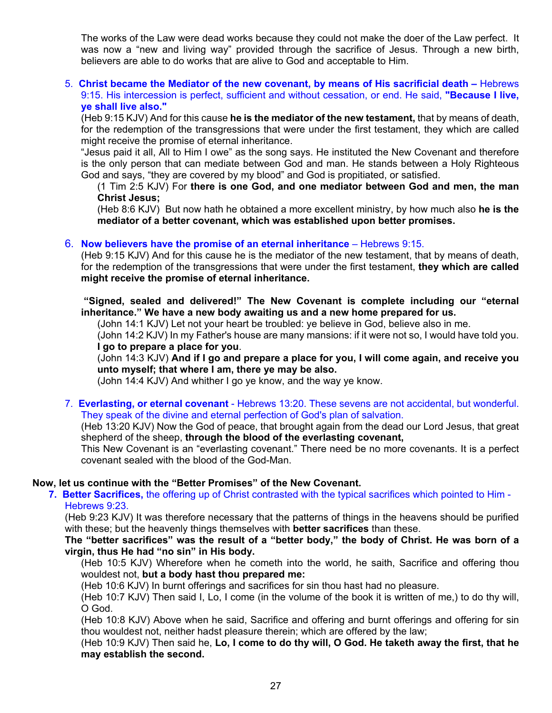The works of the Law were dead works because they could not make the doer of the Law perfect. It was now a "new and living way" provided through the sacrifice of Jesus. Through a new birth, believers are able to do works that are alive to God and acceptable to Him.

5. **Christ became the Mediator of the new covenant, by means of His sacrificial death –** Hebrews 9:15. His intercession is perfect, sufficient and without cessation, or end. He said, **"Because I live, ye shall live also."**

(Heb 9:15 KJV) And for this cause **he is the mediator of the new testament,** that by means of death, for the redemption of the transgressions that were under the first testament, they which are called might receive the promise of eternal inheritance.

"Jesus paid it all, All to Him I owe" as the song says. He instituted the New Covenant and therefore is the only person that can mediate between God and man. He stands between a Holy Righteous God and says, "they are covered by my blood" and God is propitiated, or satisfied.

(1 Tim 2:5 KJV) For **there is one God, and one mediator between God and men, the man Christ Jesus;**

(Heb 8:6 KJV) But now hath he obtained a more excellent ministry, by how much also **he is the mediator of a better covenant, which was established upon better promises.**

### 6. **Now believers have the promise of an eternal inheritance** – Hebrews 9:15.

(Heb 9:15 KJV) And for this cause he is the mediator of the new testament, that by means of death, for the redemption of the transgressions that were under the first testament, **they which are called might receive the promise of eternal inheritance.**

**"Signed, sealed and delivered!" The New Covenant is complete including our "eternal inheritance." We have a new body awaiting us and a new home prepared for us.**

(John 14:1 KJV) Let not your heart be troubled: ye believe in God, believe also in me.

(John 14:2 KJV) In my Father's house are many mansions: if it were not so, I would have told you. **I go to prepare a place for you**.

(John 14:3 KJV) **And if I go and prepare a place for you, I will come again, and receive you unto myself; that where I am, there ye may be also.**

(John 14:4 KJV) And whither I go ye know, and the way ye know.

7. **Everlasting, or eternal covenant** - Hebrews 13:20. These sevens are not accidental, but wonderful. They speak of the divine and eternal perfection of God's plan of salvation.

(Heb 13:20 KJV) Now the God of peace, that brought again from the dead our Lord Jesus, that great shepherd of the sheep, **through the blood of the everlasting covenant,**

This New Covenant is an "everlasting covenant." There need be no more covenants. It is a perfect covenant sealed with the blood of the God-Man.

#### **Now, let us continue with the "Better Promises" of the New Covenant.**

**7. Better Sacrifices,** the offering up of Christ contrasted with the typical sacrifices which pointed to Him - Hebrews 9:23.

(Heb 9:23 KJV) It was therefore necessary that the patterns of things in the heavens should be purified with these; but the heavenly things themselves with **better sacrifices** than these.

**The "better sacrifices" was the result of a "better body," the body of Christ. He was born of a virgin, thus He had "no sin" in His body.**

(Heb 10:5 KJV) Wherefore when he cometh into the world, he saith, Sacrifice and offering thou wouldest not, **but a body hast thou prepared me:**

(Heb 10:6 KJV) In burnt offerings and sacrifices for sin thou hast had no pleasure.

(Heb 10:7 KJV) Then said I, Lo, I come (in the volume of the book it is written of me,) to do thy will, O God.

(Heb 10:8 KJV) Above when he said, Sacrifice and offering and burnt offerings and offering for sin thou wouldest not, neither hadst pleasure therein; which are offered by the law;

(Heb 10:9 KJV) Then said he, **Lo, I come to do thy will, O God. He taketh away the first, that he may establish the second.**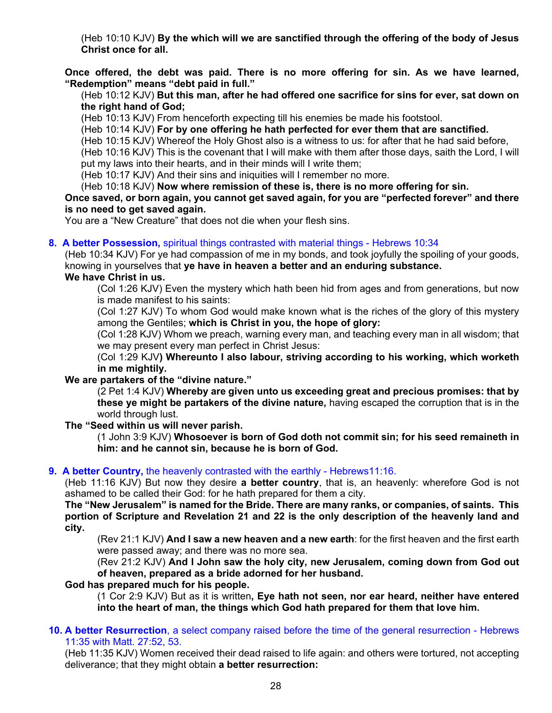(Heb 10:10 KJV) **By the which will we are sanctified through the offering of the body of Jesus Christ once for all.**

**Once offered, the debt was paid. There is no more offering for sin. As we have learned, "Redemption" means "debt paid in full."**

(Heb 10:12 KJV) **But this man, after he had offered one sacrifice for sins for ever, sat down on the right hand of God;**

(Heb 10:13 KJV) From henceforth expecting till his enemies be made his footstool.

(Heb 10:14 KJV) **For by one offering he hath perfected for ever them that are sanctified.**

(Heb 10:15 KJV) Whereof the Holy Ghost also is a witness to us: for after that he had said before, (Heb 10:16 KJV) This is the covenant that I will make with them after those days, saith the Lord, I will put my laws into their hearts, and in their minds will I write them;

(Heb 10:17 KJV) And their sins and iniquities will I remember no more.

(Heb 10:18 KJV) **Now where remission of these is, there is no more offering for sin.**

**Once saved, or born again, you cannot get saved again, for you are "perfected forever" and there is no need to get saved again.**

You are a "New Creature" that does not die when your flesh sins.

#### **8. A better Possession,** spiritual things contrasted with material things - Hebrews 10:34

(Heb 10:34 KJV) For ye had compassion of me in my bonds, and took joyfully the spoiling of your goods, knowing in yourselves that **ye have in heaven a better and an enduring substance.**

### **We have Christ in us.**

(Col 1:26 KJV) Even the mystery which hath been hid from ages and from generations, but now is made manifest to his saints:

(Col 1:27 KJV) To whom God would make known what is the riches of the glory of this mystery among the Gentiles; **which is Christ in you, the hope of glory:**

(Col 1:28 KJV) Whom we preach, warning every man, and teaching every man in all wisdom; that we may present every man perfect in Christ Jesus:

(Col 1:29 KJV**) Whereunto I also labour, striving according to his working, which worketh in me mightily.**

#### **We are partakers of the "divine nature."**

(2 Pet 1:4 KJV) **Whereby are given unto us exceeding great and precious promises: that by these ye might be partakers of the divine nature,** having escaped the corruption that is in the world through lust.

#### **The "Seed within us will never parish.**

(1 John 3:9 KJV) **Whosoever is born of God doth not commit sin; for his seed remaineth in him: and he cannot sin, because he is born of God.**

#### **9. A better Country,** the heavenly contrasted with the earthly - Hebrews11:16.

(Heb 11:16 KJV) But now they desire **a better country**, that is, an heavenly: wherefore God is not ashamed to be called their God: for he hath prepared for them a city.

**The "New Jerusalem" is named for the Bride. There are many ranks, or companies, of saints. This portion of Scripture and Revelation 21 and 22 is the only description of the heavenly land and city.**

(Rev 21:1 KJV) **And I saw a new heaven and a new earth**: for the first heaven and the first earth were passed away; and there was no more sea.

(Rev 21:2 KJV) **And I John saw the holy city, new Jerusalem, coming down from God out of heaven, prepared as a bride adorned for her husband.**

### **God has prepared much for his people.**

(1 Cor 2:9 KJV) But as it is written**, Eye hath not seen, nor ear heard, neither have entered into the heart of man, the things which God hath prepared for them that love him.**

#### **10. A better Resurrection**, a select company raised before the time of the general resurrection - Hebrews 11:35 with Matt. 27:52, 53.

(Heb 11:35 KJV) Women received their dead raised to life again: and others were tortured, not accepting deliverance; that they might obtain **a better resurrection:**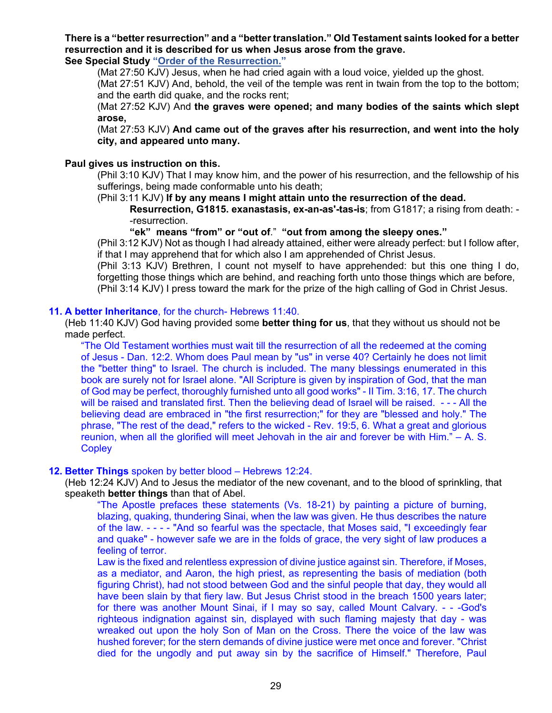# **There is a "better resurrection" and a "better translation." Old Testament saints looked for a better resurrection and it is described for us when Jesus arose from the grave.**

**See Special Study ["Order of the Resurrection."](https://graceassemblysandiego.info/wp-content/uploads/OrderofResurrectionopt.pdf)** 

(Mat 27:50 KJV) Jesus, when he had cried again with a loud voice, yielded up the ghost. (Mat 27:51 KJV) And, behold, the veil of the temple was rent in twain from the top to the bottom; and the earth did quake, and the rocks rent;

(Mat 27:52 KJV) And **the graves were opened; and many bodies of the saints which slept arose,**

(Mat 27:53 KJV) **And came out of the graves after his resurrection, and went into the holy city, and appeared unto many.**

### **Paul gives us instruction on this.**

(Phil 3:10 KJV) That I may know him, and the power of his resurrection, and the fellowship of his sufferings, being made conformable unto his death;

(Phil 3:11 KJV) **If by any means I might attain unto the resurrection of the dead.**

**Resurrection, G1815. exanastasis, ex-an-as'-tas-is**; from G1817; a rising from death: - -resurrection.

**"ek" means "from" or "out of**." **"out from among the sleepy ones."**

(Phil 3:12 KJV) Not as though I had already attained, either were already perfect: but I follow after, if that I may apprehend that for which also I am apprehended of Christ Jesus.

(Phil 3:13 KJV) Brethren, I count not myself to have apprehended: but this one thing I do, forgetting those things which are behind, and reaching forth unto those things which are before, (Phil 3:14 KJV) I press toward the mark for the prize of the high calling of God in Christ Jesus.

#### **11. A better Inheritance**, for the church- Hebrews 11:40.

(Heb 11:40 KJV) God having provided some **better thing for us**, that they without us should not be made perfect.

"The Old Testament worthies must wait till the resurrection of all the redeemed at the coming of Jesus - Dan. 12:2. Whom does Paul mean by "us" in verse 40? Certainly he does not limit the "better thing" to Israel. The church is included. The many blessings enumerated in this book are surely not for Israel alone. "All Scripture is given by inspiration of God, that the man of God may be perfect, thoroughly furnished unto all good works" - II Tim. 3:16, 17. The church will be raised and translated first. Then the believing dead of Israel will be raised. - - - All the believing dead are embraced in "the first resurrection;" for they are "blessed and holy." The phrase, "The rest of the dead," refers to the wicked - Rev. 19:5, 6. What a great and glorious reunion, when all the glorified will meet Jehovah in the air and forever be with Him." – A. S. **Copley** 

#### **12. Better Things** spoken by better blood – Hebrews 12:24.

(Heb 12:24 KJV) And to Jesus the mediator of the new covenant, and to the blood of sprinkling, that speaketh **better things** than that of Abel.

"The Apostle prefaces these statements (Vs. 18-21) by painting a picture of burning, blazing, quaking, thundering Sinai, when the law was given. He thus describes the nature of the law. - - - - "And so fearful was the spectacle, that Moses said, "I exceedingly fear and quake" - however safe we are in the folds of grace, the very sight of law produces a feeling of terror.

Law is the fixed and relentless expression of divine justice against sin. Therefore, if Moses, as a mediator, and Aaron, the high priest, as representing the basis of mediation (both figuring Christ), had not stood between God and the sinful people that day, they would all have been slain by that fiery law. But Jesus Christ stood in the breach 1500 years later; for there was another Mount Sinai, if I may so say, called Mount Calvary. - - -God's righteous indignation against sin, displayed with such flaming majesty that day - was wreaked out upon the holy Son of Man on the Cross. There the voice of the law was hushed forever; for the stern demands of divine justice were met once and forever. "Christ died for the ungodly and put away sin by the sacrifice of Himself." Therefore, Paul